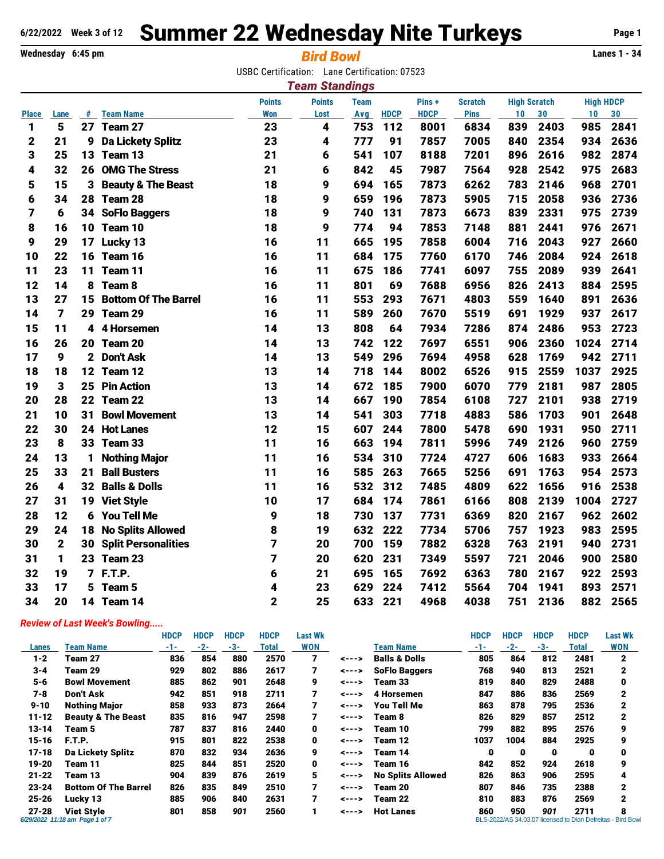## **6/22/2022 Week 3 of 12 Summer 22 Wednesday Nite Turkeys** Page 1

**Wednesday 6:45 pm** *Bird Bowl* **Lanes 1 - 34**

USBC Certification: Lane Certification: 07523

| <b>Team Standings</b> |                |    |                               |               |               |             |             |             |                |                     |      |                  |      |
|-----------------------|----------------|----|-------------------------------|---------------|---------------|-------------|-------------|-------------|----------------|---------------------|------|------------------|------|
|                       |                |    |                               | <b>Points</b> | <b>Points</b> | <b>Team</b> |             | Pins+       | <b>Scratch</b> | <b>High Scratch</b> |      | <b>High HDCP</b> |      |
| <b>Place</b>          | Lane           | #  | <b>Team Name</b>              | <b>Won</b>    | Lost          | Avg         | <b>HDCP</b> | <b>HDCP</b> | <b>Pins</b>    | 10                  | 30   | 10               | 30   |
| 1                     | 5              | 27 | Team 27                       | 23            | 4             | 753         | 112         | 8001        | 6834           | 839                 | 2403 | 985              | 2841 |
| 2                     | 21             | 9  | <b>Da Lickety Splitz</b>      | 23            | 4             | 777         | 91          | 7857        | 7005           | 840                 | 2354 | 934              | 2636 |
| 3                     | 25             | 13 | Team 13                       | 21            | 6             | 541         | 107         | 8188        | 7201           | 896                 | 2616 | 982              | 2874 |
| 4                     | 32             | 26 | <b>OMG The Stress</b>         | 21            | 6             | 842         | 45          | 7987        | 7564           | 928                 | 2542 | 975              | 2683 |
| 5                     | 15             | 3  | <b>Beauty &amp; The Beast</b> | 18            | 9             | 694         | 165         | 7873        | 6262           | 783                 | 2146 | 968              | 2701 |
| 6                     | 34             | 28 | Team 28                       | 18            | 9             | 659         | 196         | 7873        | 5905           | 715                 | 2058 | 936              | 2736 |
| 7                     | 6              | 34 | <b>SoFlo Baggers</b>          | 18            | 9             | 740         | 131         | 7873        | 6673           | 839                 | 2331 | 975              | 2739 |
| 8                     | 16             | 10 | Team 10                       | 18            | 9             | 774         | 94          | 7853        | 7148           | 881                 | 2441 | 976              | 2671 |
| 9                     | 29             | 17 | <b>Lucky 13</b>               | 16            | 11            | 665         | 195         | 7858        | 6004           | 716                 | 2043 | 927              | 2660 |
| 10                    | 22             | 16 | Team 16                       | 16            | 11            | 684         | 175         | 7760        | 6170           | 746                 | 2084 | 924              | 2618 |
| 11                    | 23             | 11 | Team 11                       | 16            | 11            | 675         | 186         | 7741        | 6097           | 755                 | 2089 | 939              | 2641 |
| 12                    | 14             | 8  | Team <sub>8</sub>             | 16            | 11            | 801         | 69          | 7688        | 6956           | 826                 | 2413 | 884              | 2595 |
| 13                    | 27             | 15 | <b>Bottom Of The Barrel</b>   | 16            | 11            | 553         | 293         | 7671        | 4803           | 559                 | 1640 | 891              | 2636 |
| 14                    | $\overline{7}$ | 29 | Team 29                       | 16            | 11            | 589         | 260         | 7670        | 5519           | 691                 | 1929 | 937              | 2617 |
| 15                    | 11             | 4  | 4 Horsemen                    | 14            | 13            | 808         | 64          | 7934        | 7286           | 874                 | 2486 | 953              | 2723 |
| 16                    | 26             | 20 | Team 20                       | 14            | 13            | 742         | 122         | 7697        | 6551           | 906                 | 2360 | 1024             | 2714 |
| 17                    | 9              | 2  | <b>Don't Ask</b>              | 14            | 13            | 549         | 296         | 7694        | 4958           | 628                 | 1769 | 942              | 2711 |
| 18                    | 18             | 12 | Team 12                       | 13            | 14            | 718         | 144         | 8002        | 6526           | 915                 | 2559 | 1037             | 2925 |
| 19                    | $\mathbf{3}$   | 25 | <b>Pin Action</b>             | 13            | 14            | 672         | 185         | 7900        | 6070           | 779                 | 2181 | 987              | 2805 |
| 20                    | 28             | 22 | Team 22                       | 13            | 14            | 667         | 190         | 7854        | 6108           | 727                 | 2101 | 938              | 2719 |
| 21                    | 10             | 31 | <b>Bowl Movement</b>          | 13            | 14            | 541         | 303         | 7718        | 4883           | 586                 | 1703 | 901              | 2648 |
| 22                    | 30             | 24 | <b>Hot Lanes</b>              | 12            | 15            | 607         | 244         | 7800        | 5478           | 690                 | 1931 | 950              | 2711 |
| 23                    | 8              | 33 | Team 33                       | 11            | 16            | 663         | 194         | 7811        | 5996           | 749                 | 2126 | 960              | 2759 |
| 24                    | 13             | 1  | <b>Nothing Major</b>          | 11            | 16            | 534         | 310         | 7724        | 4727           | 606                 | 1683 | 933              | 2664 |
| 25                    | 33             | 21 | <b>Ball Busters</b>           | 11            | 16            | 585         | 263         | 7665        | 5256           | 691                 | 1763 | 954              | 2573 |
| 26                    | 4              | 32 | <b>Balls &amp; Dolls</b>      | 11            | 16            | 532         | 312         | 7485        | 4809           | 622                 | 1656 | 916              | 2538 |
| 27                    | 31             | 19 | <b>Viet Style</b>             | 10            | 17            | 684         | 174         | 7861        | 6166           | 808                 | 2139 | 1004             | 2727 |
| 28                    | 12             | 6  | <b>You Tell Me</b>            | 9             | 18            | 730         | 137         | 7731        | 6369           | 820                 | 2167 | 962              | 2602 |
| 29                    | 24             | 18 | <b>No Splits Allowed</b>      | 8             | 19            | 632         | 222         | 7734        | 5706           | 757                 | 1923 | 983              | 2595 |
| 30                    | $\mathbf 2$    | 30 | <b>Split Personalities</b>    | 7             | 20            | 700         | 159         | 7882        | 6328           | 763                 | 2191 | 940              | 2731 |
| 31                    | 1              | 23 | Team 23                       | 7             | 20            | 620         | 231         | 7349        | 5597           | 721                 | 2046 | 900              | 2580 |
| 32                    | 19             |    | 7 F.T.P.                      | 6             | 21            | 695         | 165         | 7692        | 6363           | 780                 | 2167 | 922              | 2593 |
| 33                    | 17             | 5  | Team <sub>5</sub>             | 4             | 23            | 629         | 224         | 7412        | 5564           | 704                 | 1941 | 893              | 2571 |
| 34                    | 20             |    | 14 Team 14                    | 2             | 25            | 633         | 221         | 4968        | 4038           | 751                 | 2136 | 882              | 2565 |
|                       |                |    |                               |               |               |             |             |             |                |                     |      |                  |      |

## *Review of Last Week's Bowling.....*

|           |                                                     | <b>HDCP</b> | <b>HDCP</b> | <b>HDCP</b> | <b>HDCP</b> | <b>Last Wk</b> |                |                          | <b>HDCP</b> | <b>HDCP</b> | <b>HDCP</b> | <b>HDCP</b> | <b>Last Wk</b>                                                   |
|-----------|-----------------------------------------------------|-------------|-------------|-------------|-------------|----------------|----------------|--------------------------|-------------|-------------|-------------|-------------|------------------------------------------------------------------|
| Lanes     | <b>Team Name</b>                                    | -1-         | $-2-$       | -3-         | Total       | <b>WON</b>     |                | <b>Team Name</b>         | -1-         | $-2-$       | -3-         | Total       | WON                                                              |
| $1 - 2$   | Team 27                                             | 836         | 854         | 880         | 2570        | 7              | <--->          | <b>Balls &amp; Dolls</b> | 805         | 864         | 812         | 2481        | 2                                                                |
| $3 - 4$   | Team 29                                             | 929         | 802         | 886         | 2617        | 7              | <--->          | <b>SoFlo Baggers</b>     | 768         | 940         | 813         | 2521        | 2                                                                |
| $5 - 6$   | <b>Bowl Movement</b>                                | 885         | 862         | 901         | 2648        | 9              | <--->          | Team 33                  | 819         | 840         | 829         | 2488        | 0                                                                |
| $7 - 8$   | <b>Don't Ask</b>                                    | 942         | 851         | 918         | 2711        |                | <--->          | 4 Horsemen               | 847         | 886         | 836         | 2569        | 2                                                                |
| $9 - 10$  | <b>Nothing Major</b>                                | 858         | 933         | 873         | 2664        | 7              | <--->          | <b>You Tell Me</b>       | 863         | 878         | 795         | 2536        | $\mathbf{2}$                                                     |
| $11 - 12$ | <b>Beauty &amp; The Beast</b>                       | 835         | 816         | 947         | 2598        | 7              | <--->          | Team 8                   | 826         | 829         | 857         | 2512        | 2                                                                |
| $13 - 14$ | Team 5                                              | 787         | 837         | 816         | 2440        | 0              | <--->          | Team 10                  | 799         | 882         | 895         | 2576        | 9                                                                |
| $15 - 16$ | F.T.P.                                              | 915         | 801         | 822         | 2538        | 0              | <--->          | Team 12                  | 1037        | 1004        | 884         | 2925        | 9                                                                |
| $17 - 18$ | <b>Da Lickety Splitz</b>                            | 870         | 832         | 934         | 2636        | 9              | $\leftarrow -$ | Team 14                  | 0           | 0           | 0           | o           | 0                                                                |
| $19 - 20$ | Team 11                                             | 825         | 844         | 851         | 2520        | 0              | <--->          | Team 16                  | 842         | 852         | 924         | 2618        | 9                                                                |
| $21 - 22$ | Team 13                                             | 904         | 839         | 876         | 2619        | 5              | <--->          | <b>No Splits Allowed</b> | 826         | 863         | 906         | 2595        | 4                                                                |
| $23 - 24$ | <b>Bottom Of The Barrel</b>                         | 826         | 835         | 849         | 2510        | 7              | <--->          | Team 20                  | 807         | 846         | 735         | 2388        | $\mathbf{2}$                                                     |
| $25 - 26$ | Lucky 13                                            | 885         | 906         | 840         | 2631        | 7              | <--->          | Team 22                  | 810         | 883         | 876         | 2569        | $\mathbf{2}$                                                     |
| $27 - 28$ | <b>Viet Style</b><br>6/29/2022 11:18 am Page 1 of 7 | 801         | 858         | 901         | 2560        | 1              | <--->          | <b>Hot Lanes</b>         | 860         | 950         | 901         | 2711        | 8<br>BLS-2022/AS 34.03.07 licensed to Dion Defreitas - Bird Bowl |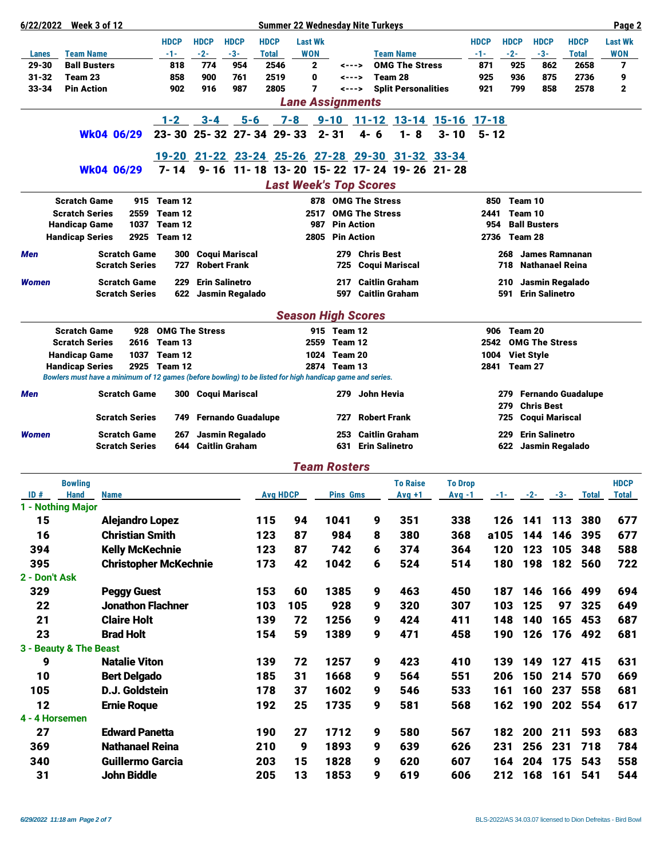| <b>HDCP</b><br><b>HDCP</b><br><b>HDCP</b><br><b>HDCP</b><br><b>Last Wk</b><br><b>HDCP</b><br><b>HDCP</b><br><b>HDCP</b><br><b>HDCP</b><br><b>Last Wk</b><br>$-2-$<br>$-3-$<br><b>WON</b><br><b>Team Name</b><br>$-2-$<br>$-3-$<br><b>WON</b><br><b>Team Name</b><br>-1-<br><b>Total</b><br>-1-<br><b>Total</b><br>Lanes<br><b>Ball Busters</b><br>774<br>954<br>2546<br><b>OMG The Stress</b><br>7<br>29-30<br>818<br>$\mathbf{2}$<br>871<br>925<br>862<br>2658<br>$- - -$<br>Team 28<br>31-32<br>Team 23<br>858<br>900<br>761<br>2519<br>0<br>925<br>936<br>875<br>2736<br>9<br><---><br>7<br><b>Pin Action</b><br>858<br>33-34<br>902<br>916<br>987<br>2805<br><b>Split Personalities</b><br>921<br>799<br>2578<br>$\mathbf{2}$<br><---><br><b>Lane Assignments</b><br>$1 - 2$<br>7-8 9-10 11-12 13-14 15-16 17-18<br>$3 - 4$<br>$5 - 6$<br>$23 - 30$<br>25-32 27-34 29-33<br>$2 - 31$<br>$4 - 6$<br>$1 - 8$<br>$3 - 10$<br>$5 - 12$<br>Wk04 06/29<br><u>19-20 21-22 23-24 25-26 27-28 29-30 31-32 33-34</u><br>9-16 11-18 13-20 15-22 17-24 19-26 21-28<br>$7 - 14$<br>Wk04 06/29<br><b>Last Week's Top Scores</b><br><b>Scratch Game</b><br>915 Team 12<br>878 OMG The Stress<br>850<br>Team 10<br><b>Scratch Series</b><br>2559<br>Team 12<br><b>OMG The Stress</b><br>2517<br>2441<br>Team 10<br><b>Ball Busters</b><br><b>Handicap Game</b><br>1037<br>Team 12<br>987<br><b>Pin Action</b><br>954<br><b>Handicap Series</b><br>2925<br>Team 12<br>2805<br><b>Pin Action</b><br>2736<br>Team 28<br><b>Scratch Game</b><br>300<br><b>Coqui Mariscal</b><br>279<br><b>Chris Best</b><br>268<br><b>James Ramnanan</b><br>Men<br><b>Robert Frank</b><br><b>Scratch Series</b><br>727<br><b>Nathanael Reina</b><br>725<br><b>Coqui Mariscal</b><br>718<br><b>Scratch Game</b><br><b>Erin Salinetro</b><br><b>Caitlin Graham</b><br><b>Women</b><br>229<br>217<br>210<br>Jasmin Regalado<br><b>Caitlin Graham</b><br><b>Erin Salinetro</b><br><b>Scratch Series</b><br>Jasmin Regalado<br>591<br>622<br>597<br><b>Season High Scores</b><br><b>OMG The Stress</b><br><b>Scratch Game</b><br>928<br>915 Team 12<br>906<br>Team 20<br>Team 13<br>2559 Team 12<br><b>OMG The Stress</b><br><b>Scratch Series</b><br>2616<br>2542<br>1024 Team 20<br><b>Handicap Game</b><br>1037<br>Team 12<br>1004<br><b>Viet Style</b><br>2925<br>Team 12<br>2874 Team 13<br>Team 27<br><b>Handicap Series</b><br>2841<br>Bowlers must have a minimum of 12 games (before bowling) to be listed for high handicap game and series.<br><b>Scratch Game</b><br>279 John Hevia<br><b>Fernando Guadalupe</b><br>300 Coqui Mariscal<br>Men<br>279.<br>279<br><b>Chris Best</b><br><b>Scratch Series</b><br><b>Fernando Guadalupe</b><br><b>Robert Frank</b><br><b>Coqui Mariscal</b><br>725<br>749.<br>727<br><b>Caitlin Graham</b><br>229<br><b>Erin Salinetro</b><br><b>Women</b><br><b>Scratch Game</b><br>Jasmin Regalado<br>253<br>267<br><b>Caitlin Graham</b><br><b>Erin Salinetro</b><br><b>Scratch Series</b><br>644<br>631<br>622<br>Jasmin Regalado<br><b>Team Rosters</b><br><b>HDCP</b><br><b>Bowling</b><br><b>To Raise</b><br><b>To Drop</b><br><b>Avg HDCP</b><br>ID#<br><b>Hand</b><br><b>Pins Gms</b><br><b>Name</b><br>$Avg +1$<br>Avg -1<br>$-1$ $-2$ $-3$ $-3$<br><b>Total</b><br><b>Total</b><br>1 - Nothing Major<br>115<br>677<br>15<br><b>Alejandro Lopez</b><br>94<br>1041<br>9<br>351<br>338<br>126<br>141 113 380<br>16<br>87<br>368<br><b>Christian Smith</b><br>123<br>984<br>380<br>a105<br>144<br>146<br>395<br>677<br>8<br>87<br>120<br>123<br>394<br><b>Kelly McKechnie</b><br>123<br>742<br>374<br>364<br>105<br>348<br>588<br>6<br>395<br><b>Christopher McKechnie</b><br>173<br>42<br>1042<br>524<br>514<br>180<br>198 182 560<br>722<br>6<br>2 - Don't Ask<br>329<br>153<br>1385<br>450<br>694<br><b>Peggy Guest</b><br>60<br>9<br>463<br>187<br>146<br>166<br>499<br>928<br>103<br>125<br>22<br><b>Jonathon Flachner</b><br>103<br>105<br>320<br>307<br>97<br>325<br>649<br>9<br>21<br>139<br>1256<br>424<br>411<br>148<br>140<br>687<br><b>Claire Holt</b><br>72<br>9<br>165<br>453<br>23<br>59<br><b>Brad Holt</b><br>154<br>1389<br>471<br>458<br>190<br>126<br>176 492<br>9<br>681<br>3 - Beauty & The Beast<br>9<br><b>Natalie Viton</b><br>139<br>72<br>1257<br>410<br>149<br>9<br>423<br>139<br>127<br>415<br>631<br>150<br>10<br>185<br>31<br>1668<br>564<br>551<br>206<br>214 570<br>669<br><b>Bert Delgado</b><br>9<br>105<br>D.J. Goldstein<br>178<br>37<br>1602<br>546<br>533<br>161<br>160<br>237<br>558<br>681<br>9<br>12<br>25<br>190<br>192<br>1735<br>9<br>581<br>568<br>162<br>202 554<br>617<br><b>Ernie Roque</b><br>4 - 4 Horsemen<br>27<br><b>Edward Panetta</b><br>27<br>1712<br>567<br>190<br>9<br>580<br>182<br>200 211<br>593<br>683<br>369<br><b>Nathanael Reina</b><br>210<br>9<br>1893<br>639<br>626<br>256<br>231<br>718<br>9<br>231<br>784<br>204<br>175<br>340<br><b>Guillermo Garcia</b><br>203<br>15<br>1828<br>620<br>607<br>164<br>543<br>558<br>9<br>31<br>John Biddle<br>205<br>13<br>1853<br>9<br>619<br>606<br>212<br>168 161<br>541<br>544 | 6/22/2022 Week 3 of 12 |  |  | <b>Summer 22 Wednesday Nite Turkeys</b> |  |  |  |  |  |  |  |  | Page 2 |
|------------------------------------------------------------------------------------------------------------------------------------------------------------------------------------------------------------------------------------------------------------------------------------------------------------------------------------------------------------------------------------------------------------------------------------------------------------------------------------------------------------------------------------------------------------------------------------------------------------------------------------------------------------------------------------------------------------------------------------------------------------------------------------------------------------------------------------------------------------------------------------------------------------------------------------------------------------------------------------------------------------------------------------------------------------------------------------------------------------------------------------------------------------------------------------------------------------------------------------------------------------------------------------------------------------------------------------------------------------------------------------------------------------------------------------------------------------------------------------------------------------------------------------------------------------------------------------------------------------------------------------------------------------------------------------------------------------------------------------------------------------------------------------------------------------------------------------------------------------------------------------------------------------------------------------------------------------------------------------------------------------------------------------------------------------------------------------------------------------------------------------------------------------------------------------------------------------------------------------------------------------------------------------------------------------------------------------------------------------------------------------------------------------------------------------------------------------------------------------------------------------------------------------------------------------------------------------------------------------------------------------------------------------------------------------------------------------------------------------------------------------------------------------------------------------------------------------------------------------------------------------------------------------------------------------------------------------------------------------------------------------------------------------------------------------------------------------------------------------------------------------------------------------------------------------------------------------------------------------------------------------------------------------------------------------------------------------------------------------------------------------------------------------------------------------------------------------------------------------------------------------------------------------------------------------------------------------------------------------------------------------------------------------------------------------------------------------------------------------------------------------------------------------------------------------------------------------------------------------------------------------------------------------------------------------------------------------------------------------------------------------------------------------------------------------------------------------------------------------------------------------------------------------------------------------------------------------------------------------------------------------------------------------------------------------------------------------------------------------------------------------------------------------------------------------------------------------------------------------------------------------------------------------------------------------------------------------------------------------------------------------------------------------------------------------------------------------------------------------------------------------------------------------------------------------------------------------------------------------------------------------------------------------------------------------------------------------------------------------------------------------------------------------------------------------------------------------------------------|------------------------|--|--|-----------------------------------------|--|--|--|--|--|--|--|--|--------|
|                                                                                                                                                                                                                                                                                                                                                                                                                                                                                                                                                                                                                                                                                                                                                                                                                                                                                                                                                                                                                                                                                                                                                                                                                                                                                                                                                                                                                                                                                                                                                                                                                                                                                                                                                                                                                                                                                                                                                                                                                                                                                                                                                                                                                                                                                                                                                                                                                                                                                                                                                                                                                                                                                                                                                                                                                                                                                                                                                                                                                                                                                                                                                                                                                                                                                                                                                                                                                                                                                                                                                                                                                                                                                                                                                                                                                                                                                                                                                                                                                                                                                                                                                                                                                                                                                                                                                                                                                                                                                                                                                                                                                                                                                                                                                                                                                                                                                                                                                                                                                                                                                                      |                        |  |  |                                         |  |  |  |  |  |  |  |  |        |
|                                                                                                                                                                                                                                                                                                                                                                                                                                                                                                                                                                                                                                                                                                                                                                                                                                                                                                                                                                                                                                                                                                                                                                                                                                                                                                                                                                                                                                                                                                                                                                                                                                                                                                                                                                                                                                                                                                                                                                                                                                                                                                                                                                                                                                                                                                                                                                                                                                                                                                                                                                                                                                                                                                                                                                                                                                                                                                                                                                                                                                                                                                                                                                                                                                                                                                                                                                                                                                                                                                                                                                                                                                                                                                                                                                                                                                                                                                                                                                                                                                                                                                                                                                                                                                                                                                                                                                                                                                                                                                                                                                                                                                                                                                                                                                                                                                                                                                                                                                                                                                                                                                      |                        |  |  |                                         |  |  |  |  |  |  |  |  |        |
|                                                                                                                                                                                                                                                                                                                                                                                                                                                                                                                                                                                                                                                                                                                                                                                                                                                                                                                                                                                                                                                                                                                                                                                                                                                                                                                                                                                                                                                                                                                                                                                                                                                                                                                                                                                                                                                                                                                                                                                                                                                                                                                                                                                                                                                                                                                                                                                                                                                                                                                                                                                                                                                                                                                                                                                                                                                                                                                                                                                                                                                                                                                                                                                                                                                                                                                                                                                                                                                                                                                                                                                                                                                                                                                                                                                                                                                                                                                                                                                                                                                                                                                                                                                                                                                                                                                                                                                                                                                                                                                                                                                                                                                                                                                                                                                                                                                                                                                                                                                                                                                                                                      |                        |  |  |                                         |  |  |  |  |  |  |  |  |        |
|                                                                                                                                                                                                                                                                                                                                                                                                                                                                                                                                                                                                                                                                                                                                                                                                                                                                                                                                                                                                                                                                                                                                                                                                                                                                                                                                                                                                                                                                                                                                                                                                                                                                                                                                                                                                                                                                                                                                                                                                                                                                                                                                                                                                                                                                                                                                                                                                                                                                                                                                                                                                                                                                                                                                                                                                                                                                                                                                                                                                                                                                                                                                                                                                                                                                                                                                                                                                                                                                                                                                                                                                                                                                                                                                                                                                                                                                                                                                                                                                                                                                                                                                                                                                                                                                                                                                                                                                                                                                                                                                                                                                                                                                                                                                                                                                                                                                                                                                                                                                                                                                                                      |                        |  |  |                                         |  |  |  |  |  |  |  |  |        |
|                                                                                                                                                                                                                                                                                                                                                                                                                                                                                                                                                                                                                                                                                                                                                                                                                                                                                                                                                                                                                                                                                                                                                                                                                                                                                                                                                                                                                                                                                                                                                                                                                                                                                                                                                                                                                                                                                                                                                                                                                                                                                                                                                                                                                                                                                                                                                                                                                                                                                                                                                                                                                                                                                                                                                                                                                                                                                                                                                                                                                                                                                                                                                                                                                                                                                                                                                                                                                                                                                                                                                                                                                                                                                                                                                                                                                                                                                                                                                                                                                                                                                                                                                                                                                                                                                                                                                                                                                                                                                                                                                                                                                                                                                                                                                                                                                                                                                                                                                                                                                                                                                                      |                        |  |  |                                         |  |  |  |  |  |  |  |  |        |
|                                                                                                                                                                                                                                                                                                                                                                                                                                                                                                                                                                                                                                                                                                                                                                                                                                                                                                                                                                                                                                                                                                                                                                                                                                                                                                                                                                                                                                                                                                                                                                                                                                                                                                                                                                                                                                                                                                                                                                                                                                                                                                                                                                                                                                                                                                                                                                                                                                                                                                                                                                                                                                                                                                                                                                                                                                                                                                                                                                                                                                                                                                                                                                                                                                                                                                                                                                                                                                                                                                                                                                                                                                                                                                                                                                                                                                                                                                                                                                                                                                                                                                                                                                                                                                                                                                                                                                                                                                                                                                                                                                                                                                                                                                                                                                                                                                                                                                                                                                                                                                                                                                      |                        |  |  |                                         |  |  |  |  |  |  |  |  |        |
|                                                                                                                                                                                                                                                                                                                                                                                                                                                                                                                                                                                                                                                                                                                                                                                                                                                                                                                                                                                                                                                                                                                                                                                                                                                                                                                                                                                                                                                                                                                                                                                                                                                                                                                                                                                                                                                                                                                                                                                                                                                                                                                                                                                                                                                                                                                                                                                                                                                                                                                                                                                                                                                                                                                                                                                                                                                                                                                                                                                                                                                                                                                                                                                                                                                                                                                                                                                                                                                                                                                                                                                                                                                                                                                                                                                                                                                                                                                                                                                                                                                                                                                                                                                                                                                                                                                                                                                                                                                                                                                                                                                                                                                                                                                                                                                                                                                                                                                                                                                                                                                                                                      |                        |  |  |                                         |  |  |  |  |  |  |  |  |        |
|                                                                                                                                                                                                                                                                                                                                                                                                                                                                                                                                                                                                                                                                                                                                                                                                                                                                                                                                                                                                                                                                                                                                                                                                                                                                                                                                                                                                                                                                                                                                                                                                                                                                                                                                                                                                                                                                                                                                                                                                                                                                                                                                                                                                                                                                                                                                                                                                                                                                                                                                                                                                                                                                                                                                                                                                                                                                                                                                                                                                                                                                                                                                                                                                                                                                                                                                                                                                                                                                                                                                                                                                                                                                                                                                                                                                                                                                                                                                                                                                                                                                                                                                                                                                                                                                                                                                                                                                                                                                                                                                                                                                                                                                                                                                                                                                                                                                                                                                                                                                                                                                                                      |                        |  |  |                                         |  |  |  |  |  |  |  |  |        |
|                                                                                                                                                                                                                                                                                                                                                                                                                                                                                                                                                                                                                                                                                                                                                                                                                                                                                                                                                                                                                                                                                                                                                                                                                                                                                                                                                                                                                                                                                                                                                                                                                                                                                                                                                                                                                                                                                                                                                                                                                                                                                                                                                                                                                                                                                                                                                                                                                                                                                                                                                                                                                                                                                                                                                                                                                                                                                                                                                                                                                                                                                                                                                                                                                                                                                                                                                                                                                                                                                                                                                                                                                                                                                                                                                                                                                                                                                                                                                                                                                                                                                                                                                                                                                                                                                                                                                                                                                                                                                                                                                                                                                                                                                                                                                                                                                                                                                                                                                                                                                                                                                                      |                        |  |  |                                         |  |  |  |  |  |  |  |  |        |
|                                                                                                                                                                                                                                                                                                                                                                                                                                                                                                                                                                                                                                                                                                                                                                                                                                                                                                                                                                                                                                                                                                                                                                                                                                                                                                                                                                                                                                                                                                                                                                                                                                                                                                                                                                                                                                                                                                                                                                                                                                                                                                                                                                                                                                                                                                                                                                                                                                                                                                                                                                                                                                                                                                                                                                                                                                                                                                                                                                                                                                                                                                                                                                                                                                                                                                                                                                                                                                                                                                                                                                                                                                                                                                                                                                                                                                                                                                                                                                                                                                                                                                                                                                                                                                                                                                                                                                                                                                                                                                                                                                                                                                                                                                                                                                                                                                                                                                                                                                                                                                                                                                      |                        |  |  |                                         |  |  |  |  |  |  |  |  |        |
|                                                                                                                                                                                                                                                                                                                                                                                                                                                                                                                                                                                                                                                                                                                                                                                                                                                                                                                                                                                                                                                                                                                                                                                                                                                                                                                                                                                                                                                                                                                                                                                                                                                                                                                                                                                                                                                                                                                                                                                                                                                                                                                                                                                                                                                                                                                                                                                                                                                                                                                                                                                                                                                                                                                                                                                                                                                                                                                                                                                                                                                                                                                                                                                                                                                                                                                                                                                                                                                                                                                                                                                                                                                                                                                                                                                                                                                                                                                                                                                                                                                                                                                                                                                                                                                                                                                                                                                                                                                                                                                                                                                                                                                                                                                                                                                                                                                                                                                                                                                                                                                                                                      |                        |  |  |                                         |  |  |  |  |  |  |  |  |        |
|                                                                                                                                                                                                                                                                                                                                                                                                                                                                                                                                                                                                                                                                                                                                                                                                                                                                                                                                                                                                                                                                                                                                                                                                                                                                                                                                                                                                                                                                                                                                                                                                                                                                                                                                                                                                                                                                                                                                                                                                                                                                                                                                                                                                                                                                                                                                                                                                                                                                                                                                                                                                                                                                                                                                                                                                                                                                                                                                                                                                                                                                                                                                                                                                                                                                                                                                                                                                                                                                                                                                                                                                                                                                                                                                                                                                                                                                                                                                                                                                                                                                                                                                                                                                                                                                                                                                                                                                                                                                                                                                                                                                                                                                                                                                                                                                                                                                                                                                                                                                                                                                                                      |                        |  |  |                                         |  |  |  |  |  |  |  |  |        |
|                                                                                                                                                                                                                                                                                                                                                                                                                                                                                                                                                                                                                                                                                                                                                                                                                                                                                                                                                                                                                                                                                                                                                                                                                                                                                                                                                                                                                                                                                                                                                                                                                                                                                                                                                                                                                                                                                                                                                                                                                                                                                                                                                                                                                                                                                                                                                                                                                                                                                                                                                                                                                                                                                                                                                                                                                                                                                                                                                                                                                                                                                                                                                                                                                                                                                                                                                                                                                                                                                                                                                                                                                                                                                                                                                                                                                                                                                                                                                                                                                                                                                                                                                                                                                                                                                                                                                                                                                                                                                                                                                                                                                                                                                                                                                                                                                                                                                                                                                                                                                                                                                                      |                        |  |  |                                         |  |  |  |  |  |  |  |  |        |
|                                                                                                                                                                                                                                                                                                                                                                                                                                                                                                                                                                                                                                                                                                                                                                                                                                                                                                                                                                                                                                                                                                                                                                                                                                                                                                                                                                                                                                                                                                                                                                                                                                                                                                                                                                                                                                                                                                                                                                                                                                                                                                                                                                                                                                                                                                                                                                                                                                                                                                                                                                                                                                                                                                                                                                                                                                                                                                                                                                                                                                                                                                                                                                                                                                                                                                                                                                                                                                                                                                                                                                                                                                                                                                                                                                                                                                                                                                                                                                                                                                                                                                                                                                                                                                                                                                                                                                                                                                                                                                                                                                                                                                                                                                                                                                                                                                                                                                                                                                                                                                                                                                      |                        |  |  |                                         |  |  |  |  |  |  |  |  |        |
|                                                                                                                                                                                                                                                                                                                                                                                                                                                                                                                                                                                                                                                                                                                                                                                                                                                                                                                                                                                                                                                                                                                                                                                                                                                                                                                                                                                                                                                                                                                                                                                                                                                                                                                                                                                                                                                                                                                                                                                                                                                                                                                                                                                                                                                                                                                                                                                                                                                                                                                                                                                                                                                                                                                                                                                                                                                                                                                                                                                                                                                                                                                                                                                                                                                                                                                                                                                                                                                                                                                                                                                                                                                                                                                                                                                                                                                                                                                                                                                                                                                                                                                                                                                                                                                                                                                                                                                                                                                                                                                                                                                                                                                                                                                                                                                                                                                                                                                                                                                                                                                                                                      |                        |  |  |                                         |  |  |  |  |  |  |  |  |        |
|                                                                                                                                                                                                                                                                                                                                                                                                                                                                                                                                                                                                                                                                                                                                                                                                                                                                                                                                                                                                                                                                                                                                                                                                                                                                                                                                                                                                                                                                                                                                                                                                                                                                                                                                                                                                                                                                                                                                                                                                                                                                                                                                                                                                                                                                                                                                                                                                                                                                                                                                                                                                                                                                                                                                                                                                                                                                                                                                                                                                                                                                                                                                                                                                                                                                                                                                                                                                                                                                                                                                                                                                                                                                                                                                                                                                                                                                                                                                                                                                                                                                                                                                                                                                                                                                                                                                                                                                                                                                                                                                                                                                                                                                                                                                                                                                                                                                                                                                                                                                                                                                                                      |                        |  |  |                                         |  |  |  |  |  |  |  |  |        |
|                                                                                                                                                                                                                                                                                                                                                                                                                                                                                                                                                                                                                                                                                                                                                                                                                                                                                                                                                                                                                                                                                                                                                                                                                                                                                                                                                                                                                                                                                                                                                                                                                                                                                                                                                                                                                                                                                                                                                                                                                                                                                                                                                                                                                                                                                                                                                                                                                                                                                                                                                                                                                                                                                                                                                                                                                                                                                                                                                                                                                                                                                                                                                                                                                                                                                                                                                                                                                                                                                                                                                                                                                                                                                                                                                                                                                                                                                                                                                                                                                                                                                                                                                                                                                                                                                                                                                                                                                                                                                                                                                                                                                                                                                                                                                                                                                                                                                                                                                                                                                                                                                                      |                        |  |  |                                         |  |  |  |  |  |  |  |  |        |
|                                                                                                                                                                                                                                                                                                                                                                                                                                                                                                                                                                                                                                                                                                                                                                                                                                                                                                                                                                                                                                                                                                                                                                                                                                                                                                                                                                                                                                                                                                                                                                                                                                                                                                                                                                                                                                                                                                                                                                                                                                                                                                                                                                                                                                                                                                                                                                                                                                                                                                                                                                                                                                                                                                                                                                                                                                                                                                                                                                                                                                                                                                                                                                                                                                                                                                                                                                                                                                                                                                                                                                                                                                                                                                                                                                                                                                                                                                                                                                                                                                                                                                                                                                                                                                                                                                                                                                                                                                                                                                                                                                                                                                                                                                                                                                                                                                                                                                                                                                                                                                                                                                      |                        |  |  |                                         |  |  |  |  |  |  |  |  |        |
|                                                                                                                                                                                                                                                                                                                                                                                                                                                                                                                                                                                                                                                                                                                                                                                                                                                                                                                                                                                                                                                                                                                                                                                                                                                                                                                                                                                                                                                                                                                                                                                                                                                                                                                                                                                                                                                                                                                                                                                                                                                                                                                                                                                                                                                                                                                                                                                                                                                                                                                                                                                                                                                                                                                                                                                                                                                                                                                                                                                                                                                                                                                                                                                                                                                                                                                                                                                                                                                                                                                                                                                                                                                                                                                                                                                                                                                                                                                                                                                                                                                                                                                                                                                                                                                                                                                                                                                                                                                                                                                                                                                                                                                                                                                                                                                                                                                                                                                                                                                                                                                                                                      |                        |  |  |                                         |  |  |  |  |  |  |  |  |        |
|                                                                                                                                                                                                                                                                                                                                                                                                                                                                                                                                                                                                                                                                                                                                                                                                                                                                                                                                                                                                                                                                                                                                                                                                                                                                                                                                                                                                                                                                                                                                                                                                                                                                                                                                                                                                                                                                                                                                                                                                                                                                                                                                                                                                                                                                                                                                                                                                                                                                                                                                                                                                                                                                                                                                                                                                                                                                                                                                                                                                                                                                                                                                                                                                                                                                                                                                                                                                                                                                                                                                                                                                                                                                                                                                                                                                                                                                                                                                                                                                                                                                                                                                                                                                                                                                                                                                                                                                                                                                                                                                                                                                                                                                                                                                                                                                                                                                                                                                                                                                                                                                                                      |                        |  |  |                                         |  |  |  |  |  |  |  |  |        |
|                                                                                                                                                                                                                                                                                                                                                                                                                                                                                                                                                                                                                                                                                                                                                                                                                                                                                                                                                                                                                                                                                                                                                                                                                                                                                                                                                                                                                                                                                                                                                                                                                                                                                                                                                                                                                                                                                                                                                                                                                                                                                                                                                                                                                                                                                                                                                                                                                                                                                                                                                                                                                                                                                                                                                                                                                                                                                                                                                                                                                                                                                                                                                                                                                                                                                                                                                                                                                                                                                                                                                                                                                                                                                                                                                                                                                                                                                                                                                                                                                                                                                                                                                                                                                                                                                                                                                                                                                                                                                                                                                                                                                                                                                                                                                                                                                                                                                                                                                                                                                                                                                                      |                        |  |  |                                         |  |  |  |  |  |  |  |  |        |
|                                                                                                                                                                                                                                                                                                                                                                                                                                                                                                                                                                                                                                                                                                                                                                                                                                                                                                                                                                                                                                                                                                                                                                                                                                                                                                                                                                                                                                                                                                                                                                                                                                                                                                                                                                                                                                                                                                                                                                                                                                                                                                                                                                                                                                                                                                                                                                                                                                                                                                                                                                                                                                                                                                                                                                                                                                                                                                                                                                                                                                                                                                                                                                                                                                                                                                                                                                                                                                                                                                                                                                                                                                                                                                                                                                                                                                                                                                                                                                                                                                                                                                                                                                                                                                                                                                                                                                                                                                                                                                                                                                                                                                                                                                                                                                                                                                                                                                                                                                                                                                                                                                      |                        |  |  |                                         |  |  |  |  |  |  |  |  |        |
|                                                                                                                                                                                                                                                                                                                                                                                                                                                                                                                                                                                                                                                                                                                                                                                                                                                                                                                                                                                                                                                                                                                                                                                                                                                                                                                                                                                                                                                                                                                                                                                                                                                                                                                                                                                                                                                                                                                                                                                                                                                                                                                                                                                                                                                                                                                                                                                                                                                                                                                                                                                                                                                                                                                                                                                                                                                                                                                                                                                                                                                                                                                                                                                                                                                                                                                                                                                                                                                                                                                                                                                                                                                                                                                                                                                                                                                                                                                                                                                                                                                                                                                                                                                                                                                                                                                                                                                                                                                                                                                                                                                                                                                                                                                                                                                                                                                                                                                                                                                                                                                                                                      |                        |  |  |                                         |  |  |  |  |  |  |  |  |        |
|                                                                                                                                                                                                                                                                                                                                                                                                                                                                                                                                                                                                                                                                                                                                                                                                                                                                                                                                                                                                                                                                                                                                                                                                                                                                                                                                                                                                                                                                                                                                                                                                                                                                                                                                                                                                                                                                                                                                                                                                                                                                                                                                                                                                                                                                                                                                                                                                                                                                                                                                                                                                                                                                                                                                                                                                                                                                                                                                                                                                                                                                                                                                                                                                                                                                                                                                                                                                                                                                                                                                                                                                                                                                                                                                                                                                                                                                                                                                                                                                                                                                                                                                                                                                                                                                                                                                                                                                                                                                                                                                                                                                                                                                                                                                                                                                                                                                                                                                                                                                                                                                                                      |                        |  |  |                                         |  |  |  |  |  |  |  |  |        |
|                                                                                                                                                                                                                                                                                                                                                                                                                                                                                                                                                                                                                                                                                                                                                                                                                                                                                                                                                                                                                                                                                                                                                                                                                                                                                                                                                                                                                                                                                                                                                                                                                                                                                                                                                                                                                                                                                                                                                                                                                                                                                                                                                                                                                                                                                                                                                                                                                                                                                                                                                                                                                                                                                                                                                                                                                                                                                                                                                                                                                                                                                                                                                                                                                                                                                                                                                                                                                                                                                                                                                                                                                                                                                                                                                                                                                                                                                                                                                                                                                                                                                                                                                                                                                                                                                                                                                                                                                                                                                                                                                                                                                                                                                                                                                                                                                                                                                                                                                                                                                                                                                                      |                        |  |  |                                         |  |  |  |  |  |  |  |  |        |
|                                                                                                                                                                                                                                                                                                                                                                                                                                                                                                                                                                                                                                                                                                                                                                                                                                                                                                                                                                                                                                                                                                                                                                                                                                                                                                                                                                                                                                                                                                                                                                                                                                                                                                                                                                                                                                                                                                                                                                                                                                                                                                                                                                                                                                                                                                                                                                                                                                                                                                                                                                                                                                                                                                                                                                                                                                                                                                                                                                                                                                                                                                                                                                                                                                                                                                                                                                                                                                                                                                                                                                                                                                                                                                                                                                                                                                                                                                                                                                                                                                                                                                                                                                                                                                                                                                                                                                                                                                                                                                                                                                                                                                                                                                                                                                                                                                                                                                                                                                                                                                                                                                      |                        |  |  |                                         |  |  |  |  |  |  |  |  |        |
|                                                                                                                                                                                                                                                                                                                                                                                                                                                                                                                                                                                                                                                                                                                                                                                                                                                                                                                                                                                                                                                                                                                                                                                                                                                                                                                                                                                                                                                                                                                                                                                                                                                                                                                                                                                                                                                                                                                                                                                                                                                                                                                                                                                                                                                                                                                                                                                                                                                                                                                                                                                                                                                                                                                                                                                                                                                                                                                                                                                                                                                                                                                                                                                                                                                                                                                                                                                                                                                                                                                                                                                                                                                                                                                                                                                                                                                                                                                                                                                                                                                                                                                                                                                                                                                                                                                                                                                                                                                                                                                                                                                                                                                                                                                                                                                                                                                                                                                                                                                                                                                                                                      |                        |  |  |                                         |  |  |  |  |  |  |  |  |        |
|                                                                                                                                                                                                                                                                                                                                                                                                                                                                                                                                                                                                                                                                                                                                                                                                                                                                                                                                                                                                                                                                                                                                                                                                                                                                                                                                                                                                                                                                                                                                                                                                                                                                                                                                                                                                                                                                                                                                                                                                                                                                                                                                                                                                                                                                                                                                                                                                                                                                                                                                                                                                                                                                                                                                                                                                                                                                                                                                                                                                                                                                                                                                                                                                                                                                                                                                                                                                                                                                                                                                                                                                                                                                                                                                                                                                                                                                                                                                                                                                                                                                                                                                                                                                                                                                                                                                                                                                                                                                                                                                                                                                                                                                                                                                                                                                                                                                                                                                                                                                                                                                                                      |                        |  |  |                                         |  |  |  |  |  |  |  |  |        |
|                                                                                                                                                                                                                                                                                                                                                                                                                                                                                                                                                                                                                                                                                                                                                                                                                                                                                                                                                                                                                                                                                                                                                                                                                                                                                                                                                                                                                                                                                                                                                                                                                                                                                                                                                                                                                                                                                                                                                                                                                                                                                                                                                                                                                                                                                                                                                                                                                                                                                                                                                                                                                                                                                                                                                                                                                                                                                                                                                                                                                                                                                                                                                                                                                                                                                                                                                                                                                                                                                                                                                                                                                                                                                                                                                                                                                                                                                                                                                                                                                                                                                                                                                                                                                                                                                                                                                                                                                                                                                                                                                                                                                                                                                                                                                                                                                                                                                                                                                                                                                                                                                                      |                        |  |  |                                         |  |  |  |  |  |  |  |  |        |
|                                                                                                                                                                                                                                                                                                                                                                                                                                                                                                                                                                                                                                                                                                                                                                                                                                                                                                                                                                                                                                                                                                                                                                                                                                                                                                                                                                                                                                                                                                                                                                                                                                                                                                                                                                                                                                                                                                                                                                                                                                                                                                                                                                                                                                                                                                                                                                                                                                                                                                                                                                                                                                                                                                                                                                                                                                                                                                                                                                                                                                                                                                                                                                                                                                                                                                                                                                                                                                                                                                                                                                                                                                                                                                                                                                                                                                                                                                                                                                                                                                                                                                                                                                                                                                                                                                                                                                                                                                                                                                                                                                                                                                                                                                                                                                                                                                                                                                                                                                                                                                                                                                      |                        |  |  |                                         |  |  |  |  |  |  |  |  |        |
|                                                                                                                                                                                                                                                                                                                                                                                                                                                                                                                                                                                                                                                                                                                                                                                                                                                                                                                                                                                                                                                                                                                                                                                                                                                                                                                                                                                                                                                                                                                                                                                                                                                                                                                                                                                                                                                                                                                                                                                                                                                                                                                                                                                                                                                                                                                                                                                                                                                                                                                                                                                                                                                                                                                                                                                                                                                                                                                                                                                                                                                                                                                                                                                                                                                                                                                                                                                                                                                                                                                                                                                                                                                                                                                                                                                                                                                                                                                                                                                                                                                                                                                                                                                                                                                                                                                                                                                                                                                                                                                                                                                                                                                                                                                                                                                                                                                                                                                                                                                                                                                                                                      |                        |  |  |                                         |  |  |  |  |  |  |  |  |        |
|                                                                                                                                                                                                                                                                                                                                                                                                                                                                                                                                                                                                                                                                                                                                                                                                                                                                                                                                                                                                                                                                                                                                                                                                                                                                                                                                                                                                                                                                                                                                                                                                                                                                                                                                                                                                                                                                                                                                                                                                                                                                                                                                                                                                                                                                                                                                                                                                                                                                                                                                                                                                                                                                                                                                                                                                                                                                                                                                                                                                                                                                                                                                                                                                                                                                                                                                                                                                                                                                                                                                                                                                                                                                                                                                                                                                                                                                                                                                                                                                                                                                                                                                                                                                                                                                                                                                                                                                                                                                                                                                                                                                                                                                                                                                                                                                                                                                                                                                                                                                                                                                                                      |                        |  |  |                                         |  |  |  |  |  |  |  |  |        |
|                                                                                                                                                                                                                                                                                                                                                                                                                                                                                                                                                                                                                                                                                                                                                                                                                                                                                                                                                                                                                                                                                                                                                                                                                                                                                                                                                                                                                                                                                                                                                                                                                                                                                                                                                                                                                                                                                                                                                                                                                                                                                                                                                                                                                                                                                                                                                                                                                                                                                                                                                                                                                                                                                                                                                                                                                                                                                                                                                                                                                                                                                                                                                                                                                                                                                                                                                                                                                                                                                                                                                                                                                                                                                                                                                                                                                                                                                                                                                                                                                                                                                                                                                                                                                                                                                                                                                                                                                                                                                                                                                                                                                                                                                                                                                                                                                                                                                                                                                                                                                                                                                                      |                        |  |  |                                         |  |  |  |  |  |  |  |  |        |
|                                                                                                                                                                                                                                                                                                                                                                                                                                                                                                                                                                                                                                                                                                                                                                                                                                                                                                                                                                                                                                                                                                                                                                                                                                                                                                                                                                                                                                                                                                                                                                                                                                                                                                                                                                                                                                                                                                                                                                                                                                                                                                                                                                                                                                                                                                                                                                                                                                                                                                                                                                                                                                                                                                                                                                                                                                                                                                                                                                                                                                                                                                                                                                                                                                                                                                                                                                                                                                                                                                                                                                                                                                                                                                                                                                                                                                                                                                                                                                                                                                                                                                                                                                                                                                                                                                                                                                                                                                                                                                                                                                                                                                                                                                                                                                                                                                                                                                                                                                                                                                                                                                      |                        |  |  |                                         |  |  |  |  |  |  |  |  |        |
|                                                                                                                                                                                                                                                                                                                                                                                                                                                                                                                                                                                                                                                                                                                                                                                                                                                                                                                                                                                                                                                                                                                                                                                                                                                                                                                                                                                                                                                                                                                                                                                                                                                                                                                                                                                                                                                                                                                                                                                                                                                                                                                                                                                                                                                                                                                                                                                                                                                                                                                                                                                                                                                                                                                                                                                                                                                                                                                                                                                                                                                                                                                                                                                                                                                                                                                                                                                                                                                                                                                                                                                                                                                                                                                                                                                                                                                                                                                                                                                                                                                                                                                                                                                                                                                                                                                                                                                                                                                                                                                                                                                                                                                                                                                                                                                                                                                                                                                                                                                                                                                                                                      |                        |  |  |                                         |  |  |  |  |  |  |  |  |        |
|                                                                                                                                                                                                                                                                                                                                                                                                                                                                                                                                                                                                                                                                                                                                                                                                                                                                                                                                                                                                                                                                                                                                                                                                                                                                                                                                                                                                                                                                                                                                                                                                                                                                                                                                                                                                                                                                                                                                                                                                                                                                                                                                                                                                                                                                                                                                                                                                                                                                                                                                                                                                                                                                                                                                                                                                                                                                                                                                                                                                                                                                                                                                                                                                                                                                                                                                                                                                                                                                                                                                                                                                                                                                                                                                                                                                                                                                                                                                                                                                                                                                                                                                                                                                                                                                                                                                                                                                                                                                                                                                                                                                                                                                                                                                                                                                                                                                                                                                                                                                                                                                                                      |                        |  |  |                                         |  |  |  |  |  |  |  |  |        |
|                                                                                                                                                                                                                                                                                                                                                                                                                                                                                                                                                                                                                                                                                                                                                                                                                                                                                                                                                                                                                                                                                                                                                                                                                                                                                                                                                                                                                                                                                                                                                                                                                                                                                                                                                                                                                                                                                                                                                                                                                                                                                                                                                                                                                                                                                                                                                                                                                                                                                                                                                                                                                                                                                                                                                                                                                                                                                                                                                                                                                                                                                                                                                                                                                                                                                                                                                                                                                                                                                                                                                                                                                                                                                                                                                                                                                                                                                                                                                                                                                                                                                                                                                                                                                                                                                                                                                                                                                                                                                                                                                                                                                                                                                                                                                                                                                                                                                                                                                                                                                                                                                                      |                        |  |  |                                         |  |  |  |  |  |  |  |  |        |
|                                                                                                                                                                                                                                                                                                                                                                                                                                                                                                                                                                                                                                                                                                                                                                                                                                                                                                                                                                                                                                                                                                                                                                                                                                                                                                                                                                                                                                                                                                                                                                                                                                                                                                                                                                                                                                                                                                                                                                                                                                                                                                                                                                                                                                                                                                                                                                                                                                                                                                                                                                                                                                                                                                                                                                                                                                                                                                                                                                                                                                                                                                                                                                                                                                                                                                                                                                                                                                                                                                                                                                                                                                                                                                                                                                                                                                                                                                                                                                                                                                                                                                                                                                                                                                                                                                                                                                                                                                                                                                                                                                                                                                                                                                                                                                                                                                                                                                                                                                                                                                                                                                      |                        |  |  |                                         |  |  |  |  |  |  |  |  |        |
|                                                                                                                                                                                                                                                                                                                                                                                                                                                                                                                                                                                                                                                                                                                                                                                                                                                                                                                                                                                                                                                                                                                                                                                                                                                                                                                                                                                                                                                                                                                                                                                                                                                                                                                                                                                                                                                                                                                                                                                                                                                                                                                                                                                                                                                                                                                                                                                                                                                                                                                                                                                                                                                                                                                                                                                                                                                                                                                                                                                                                                                                                                                                                                                                                                                                                                                                                                                                                                                                                                                                                                                                                                                                                                                                                                                                                                                                                                                                                                                                                                                                                                                                                                                                                                                                                                                                                                                                                                                                                                                                                                                                                                                                                                                                                                                                                                                                                                                                                                                                                                                                                                      |                        |  |  |                                         |  |  |  |  |  |  |  |  |        |
|                                                                                                                                                                                                                                                                                                                                                                                                                                                                                                                                                                                                                                                                                                                                                                                                                                                                                                                                                                                                                                                                                                                                                                                                                                                                                                                                                                                                                                                                                                                                                                                                                                                                                                                                                                                                                                                                                                                                                                                                                                                                                                                                                                                                                                                                                                                                                                                                                                                                                                                                                                                                                                                                                                                                                                                                                                                                                                                                                                                                                                                                                                                                                                                                                                                                                                                                                                                                                                                                                                                                                                                                                                                                                                                                                                                                                                                                                                                                                                                                                                                                                                                                                                                                                                                                                                                                                                                                                                                                                                                                                                                                                                                                                                                                                                                                                                                                                                                                                                                                                                                                                                      |                        |  |  |                                         |  |  |  |  |  |  |  |  |        |
|                                                                                                                                                                                                                                                                                                                                                                                                                                                                                                                                                                                                                                                                                                                                                                                                                                                                                                                                                                                                                                                                                                                                                                                                                                                                                                                                                                                                                                                                                                                                                                                                                                                                                                                                                                                                                                                                                                                                                                                                                                                                                                                                                                                                                                                                                                                                                                                                                                                                                                                                                                                                                                                                                                                                                                                                                                                                                                                                                                                                                                                                                                                                                                                                                                                                                                                                                                                                                                                                                                                                                                                                                                                                                                                                                                                                                                                                                                                                                                                                                                                                                                                                                                                                                                                                                                                                                                                                                                                                                                                                                                                                                                                                                                                                                                                                                                                                                                                                                                                                                                                                                                      |                        |  |  |                                         |  |  |  |  |  |  |  |  |        |
|                                                                                                                                                                                                                                                                                                                                                                                                                                                                                                                                                                                                                                                                                                                                                                                                                                                                                                                                                                                                                                                                                                                                                                                                                                                                                                                                                                                                                                                                                                                                                                                                                                                                                                                                                                                                                                                                                                                                                                                                                                                                                                                                                                                                                                                                                                                                                                                                                                                                                                                                                                                                                                                                                                                                                                                                                                                                                                                                                                                                                                                                                                                                                                                                                                                                                                                                                                                                                                                                                                                                                                                                                                                                                                                                                                                                                                                                                                                                                                                                                                                                                                                                                                                                                                                                                                                                                                                                                                                                                                                                                                                                                                                                                                                                                                                                                                                                                                                                                                                                                                                                                                      |                        |  |  |                                         |  |  |  |  |  |  |  |  |        |
|                                                                                                                                                                                                                                                                                                                                                                                                                                                                                                                                                                                                                                                                                                                                                                                                                                                                                                                                                                                                                                                                                                                                                                                                                                                                                                                                                                                                                                                                                                                                                                                                                                                                                                                                                                                                                                                                                                                                                                                                                                                                                                                                                                                                                                                                                                                                                                                                                                                                                                                                                                                                                                                                                                                                                                                                                                                                                                                                                                                                                                                                                                                                                                                                                                                                                                                                                                                                                                                                                                                                                                                                                                                                                                                                                                                                                                                                                                                                                                                                                                                                                                                                                                                                                                                                                                                                                                                                                                                                                                                                                                                                                                                                                                                                                                                                                                                                                                                                                                                                                                                                                                      |                        |  |  |                                         |  |  |  |  |  |  |  |  |        |
|                                                                                                                                                                                                                                                                                                                                                                                                                                                                                                                                                                                                                                                                                                                                                                                                                                                                                                                                                                                                                                                                                                                                                                                                                                                                                                                                                                                                                                                                                                                                                                                                                                                                                                                                                                                                                                                                                                                                                                                                                                                                                                                                                                                                                                                                                                                                                                                                                                                                                                                                                                                                                                                                                                                                                                                                                                                                                                                                                                                                                                                                                                                                                                                                                                                                                                                                                                                                                                                                                                                                                                                                                                                                                                                                                                                                                                                                                                                                                                                                                                                                                                                                                                                                                                                                                                                                                                                                                                                                                                                                                                                                                                                                                                                                                                                                                                                                                                                                                                                                                                                                                                      |                        |  |  |                                         |  |  |  |  |  |  |  |  |        |
|                                                                                                                                                                                                                                                                                                                                                                                                                                                                                                                                                                                                                                                                                                                                                                                                                                                                                                                                                                                                                                                                                                                                                                                                                                                                                                                                                                                                                                                                                                                                                                                                                                                                                                                                                                                                                                                                                                                                                                                                                                                                                                                                                                                                                                                                                                                                                                                                                                                                                                                                                                                                                                                                                                                                                                                                                                                                                                                                                                                                                                                                                                                                                                                                                                                                                                                                                                                                                                                                                                                                                                                                                                                                                                                                                                                                                                                                                                                                                                                                                                                                                                                                                                                                                                                                                                                                                                                                                                                                                                                                                                                                                                                                                                                                                                                                                                                                                                                                                                                                                                                                                                      |                        |  |  |                                         |  |  |  |  |  |  |  |  |        |
|                                                                                                                                                                                                                                                                                                                                                                                                                                                                                                                                                                                                                                                                                                                                                                                                                                                                                                                                                                                                                                                                                                                                                                                                                                                                                                                                                                                                                                                                                                                                                                                                                                                                                                                                                                                                                                                                                                                                                                                                                                                                                                                                                                                                                                                                                                                                                                                                                                                                                                                                                                                                                                                                                                                                                                                                                                                                                                                                                                                                                                                                                                                                                                                                                                                                                                                                                                                                                                                                                                                                                                                                                                                                                                                                                                                                                                                                                                                                                                                                                                                                                                                                                                                                                                                                                                                                                                                                                                                                                                                                                                                                                                                                                                                                                                                                                                                                                                                                                                                                                                                                                                      |                        |  |  |                                         |  |  |  |  |  |  |  |  |        |
|                                                                                                                                                                                                                                                                                                                                                                                                                                                                                                                                                                                                                                                                                                                                                                                                                                                                                                                                                                                                                                                                                                                                                                                                                                                                                                                                                                                                                                                                                                                                                                                                                                                                                                                                                                                                                                                                                                                                                                                                                                                                                                                                                                                                                                                                                                                                                                                                                                                                                                                                                                                                                                                                                                                                                                                                                                                                                                                                                                                                                                                                                                                                                                                                                                                                                                                                                                                                                                                                                                                                                                                                                                                                                                                                                                                                                                                                                                                                                                                                                                                                                                                                                                                                                                                                                                                                                                                                                                                                                                                                                                                                                                                                                                                                                                                                                                                                                                                                                                                                                                                                                                      |                        |  |  |                                         |  |  |  |  |  |  |  |  |        |
|                                                                                                                                                                                                                                                                                                                                                                                                                                                                                                                                                                                                                                                                                                                                                                                                                                                                                                                                                                                                                                                                                                                                                                                                                                                                                                                                                                                                                                                                                                                                                                                                                                                                                                                                                                                                                                                                                                                                                                                                                                                                                                                                                                                                                                                                                                                                                                                                                                                                                                                                                                                                                                                                                                                                                                                                                                                                                                                                                                                                                                                                                                                                                                                                                                                                                                                                                                                                                                                                                                                                                                                                                                                                                                                                                                                                                                                                                                                                                                                                                                                                                                                                                                                                                                                                                                                                                                                                                                                                                                                                                                                                                                                                                                                                                                                                                                                                                                                                                                                                                                                                                                      |                        |  |  |                                         |  |  |  |  |  |  |  |  |        |
|                                                                                                                                                                                                                                                                                                                                                                                                                                                                                                                                                                                                                                                                                                                                                                                                                                                                                                                                                                                                                                                                                                                                                                                                                                                                                                                                                                                                                                                                                                                                                                                                                                                                                                                                                                                                                                                                                                                                                                                                                                                                                                                                                                                                                                                                                                                                                                                                                                                                                                                                                                                                                                                                                                                                                                                                                                                                                                                                                                                                                                                                                                                                                                                                                                                                                                                                                                                                                                                                                                                                                                                                                                                                                                                                                                                                                                                                                                                                                                                                                                                                                                                                                                                                                                                                                                                                                                                                                                                                                                                                                                                                                                                                                                                                                                                                                                                                                                                                                                                                                                                                                                      |                        |  |  |                                         |  |  |  |  |  |  |  |  |        |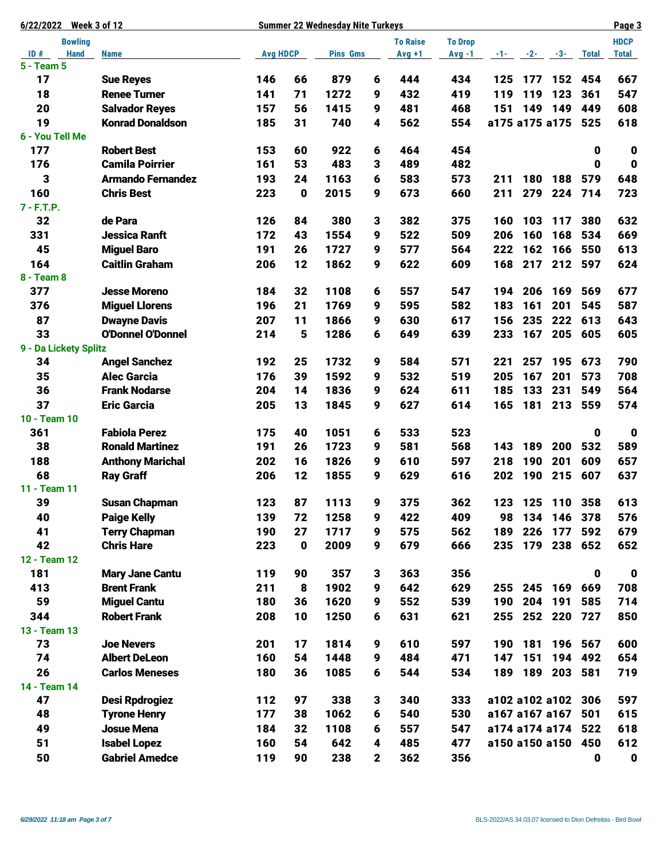| Week 3 of 12<br>6/22/2022 | <b>Summer 22 Wednesday Nite Turkeys</b> |                 |           |                 |              |                 |                |                    |            |             |              |              |
|---------------------------|-----------------------------------------|-----------------|-----------|-----------------|--------------|-----------------|----------------|--------------------|------------|-------------|--------------|--------------|
| <b>Bowling</b>            |                                         |                 |           |                 |              | <b>To Raise</b> | <b>To Drop</b> |                    |            |             |              | <b>HDCP</b>  |
| ID#<br><b>Hand</b>        | <b>Name</b>                             | <b>Avg HDCP</b> |           | <b>Pins Gms</b> |              | $Avg +1$        | $Avg -1$       |                    | $-1 - 2 -$ | $-3-$       | <b>Total</b> | <b>Total</b> |
| 5 - Team 5                |                                         |                 |           |                 |              |                 |                |                    |            |             |              |              |
| 17                        | <b>Sue Reyes</b>                        | 146             | 66        | 879             | 6            | 444             | 434            | 125                | 177        | 152         | 454          | 667          |
| 18                        | <b>Renee Turner</b>                     | 141             | 71        | 1272            | 9            | 432             | 419            | 119                | 119        | 123         | 361          | 547          |
| 20                        | <b>Salvador Reyes</b>                   | 157             | 56        | 1415            | 9            | 481             | 468            | 151                | 149        | 149         | 449          | 608          |
| 19                        | <b>Konrad Donaldson</b>                 | 185             | 31        | 740             | 4            | 562             | 554            | a175 a175 a175     |            |             | 525          | 618          |
| 6 - You Tell Me           |                                         |                 |           |                 |              |                 |                |                    |            |             |              |              |
| 177                       | <b>Robert Best</b>                      | 153             | 60        | 922             | 6            | 464             | 454            |                    |            |             | $\mathbf 0$  | $\bf{0}$     |
| 176                       | <b>Camila Poirrier</b>                  | 161             | 53        | 483             | 3            | 489             | 482            |                    |            |             | 0            | $\mathbf 0$  |
| 3                         | <b>Armando Fernandez</b>                | 193             | 24        | 1163            | 6            | 583             | 573            | 211                | 180        | 188         | 579          | 648          |
| 160                       | <b>Chris Best</b>                       | 223             | 0         | 2015            | 9            | 673             | 660            | 211                | 279        | 224         | 714          | 723          |
| $7 - F.T.P.$              |                                         |                 |           |                 |              |                 |                |                    |            |             |              |              |
| 32                        | de Para                                 | 126             | 84        | 380             | 3            | 382             | 375            | 160                | 103        | 117         | 380          | 632          |
| 331                       | <b>Jessica Ranft</b>                    | 172             | 43        | 1554            | 9            | 522             | 509            | 206                | 160        | 168         | 534          | 669          |
| 45                        | <b>Miguel Baro</b>                      | 191             | 26        | 1727            | 9            | 577             | 564            | 222                | 162        | 166         | 550          | 613          |
| 164                       | <b>Caitlin Graham</b>                   | 206             | 12        | 1862            | 9            | 622             | 609            | 168                | 217        | 212         | 597          | 624          |
| 8 - Team 8                |                                         |                 |           |                 |              |                 |                |                    |            |             |              |              |
| 377                       | <b>Jesse Moreno</b>                     | 184             | 32        | 1108            | 6            | 557             | 547            | 194                | 206        | 169         | 569          | 677          |
| 376                       | <b>Miguel Llorens</b>                   | 196             | 21        | 1769            | 9            | 595             | 582            | 183                | 161        | 201         | 545          | 587          |
| 87                        | <b>Dwayne Davis</b>                     | 207             | 11        | 1866            | 9            | 630             | 617            | 156                | 235        | 222         | 613          | 643          |
| 33                        | <b>O'Donnel O'Donnel</b>                | 214             | 5         | 1286            | 6            | 649             | 639            | 233                | 167        | 205         | 605          | 605          |
| 9 - Da Lickety Splitz     |                                         |                 |           |                 |              |                 |                |                    |            |             |              |              |
| 34                        | <b>Angel Sanchez</b>                    | 192             | 25        | 1732            | 9            | 584             | 571            | 221                | 257        | 195         | 673          | 790          |
| 35                        | <b>Alec Garcia</b>                      | 176             | 39        | 1592            | 9            | 532             | 519            | 205                | 167        | 201         | 573          | 708          |
| 36                        | <b>Frank Nodarse</b>                    | 204             | 14        | 1836            | 9            | 624             | 611            | 185                | 133        | 231         | 549          | 564          |
| 37                        | <b>Eric Garcia</b>                      | 205             | 13        | 1845            | 9            | 627             | 614            | 165                |            | 181 213     | 559          | 574          |
| 10 - Team 10              |                                         |                 |           |                 |              |                 |                |                    |            |             |              |              |
| 361                       | <b>Fabiola Perez</b>                    | 175             | 40        | 1051            | 6            | 533             | 523            |                    |            |             | $\mathbf 0$  | $\mathbf 0$  |
| 38                        | <b>Ronald Martinez</b>                  | 191             | 26        | 1723            | 9            | 581             | 568            | 143                | 189        | 200         | 532          | 589          |
| 188                       | <b>Anthony Marichal</b>                 | 202             | 16        | 1826            | 9            | 610             | 597            | 218                | 190        | 201         | 609          | 657          |
| 68                        | <b>Ray Graff</b>                        | 206             | 12        | 1855            | 9            | 629             | 616            | 202                | 190        | 215         | 607          | 637          |
| 11 - Team 11              |                                         |                 |           |                 |              |                 |                |                    |            |             |              |              |
| 39                        | <b>Susan Chapman</b>                    | 123             | 87        | 1113            | 9            | 375             | 362            | 123                | 125        |             | 110 358      | 613          |
| 40                        | <b>Paige Kelly</b>                      | 139             | 72        | 1258            | 9            | 422             | 409            | 98                 | 134        |             | 146 378      | 576          |
| 41                        | <b>Terry Chapman</b>                    | 190             | 27        | 1717            | 9            | 575             | 562            | 189                | 226        | 177         | 592          | 679          |
| 42                        | <b>Chris Hare</b>                       | 223             | $\pmb{0}$ | 2009            | 9            | 679             | 666            | 235                |            | 179 238 652 |              | 652          |
| 12 - Team 12              |                                         |                 |           |                 |              |                 |                |                    |            |             |              |              |
| 181                       | <b>Mary Jane Cantu</b>                  | 119             | 90        | 357             | 3            | 363             | 356            |                    |            |             | $\mathbf 0$  | $\mathbf 0$  |
| 413                       | <b>Brent Frank</b>                      | 211             | 8         | 1902            | 9            | 642             | 629            | 255                | 245        | 169         | 669          | 708          |
| 59                        | <b>Miguel Cantu</b>                     | 180             | 36        | 1620            | 9            | 552             | 539            | 190                | 204        | 191         | 585          | 714          |
| 344                       | <b>Robert Frank</b>                     | 208             | 10        | 1250            | 6            | 631             | 621            | 255                |            | 252 220     | 727          | 850          |
| 13 - Team 13              |                                         |                 |           |                 |              |                 |                |                    |            |             |              |              |
| 73                        | <b>Joe Nevers</b>                       | 201             | 17        | 1814            | 9            | 610             | 597            | 190                | 181        | 196         | 567          | 600          |
| 74                        | <b>Albert DeLeon</b>                    | 160             | 54        | 1448            | 9            | 484             | 471            | 147                | 151        | 194         | 492          | 654          |
| 26                        | <b>Carlos Meneses</b>                   | 180             | 36        | 1085            | 6            | 544             | 534            | 189                |            | 189 203 581 |              | 719          |
| 14 - Team 14              |                                         |                 |           |                 |              |                 |                |                    |            |             |              |              |
| 47                        | <b>Desi Rpdrogiez</b>                   | 112             | 97        | 338             | 3            | 340             | 333            | a102 a102 a102 306 |            |             |              | 597          |
| 48                        | <b>Tyrone Henry</b>                     | 177             | 38        | 1062            | 6            | 540             | 530            | a167 a167 a167 501 |            |             |              | 615          |
| 49                        | <b>Josue Mena</b>                       | 184             | 32        | 1108            | 6            | 557             | 547            | a174 a174 a174 522 |            |             |              | 618          |
| 51                        | <b>Isabel Lopez</b>                     | 160             | 54        | 642             | 4            | 485             | 477            | a150 a150 a150 450 |            |             |              | 612          |
| 50                        | <b>Gabriel Amedce</b>                   | 119             | 90        | 238             | $\mathbf{2}$ | 362             | 356            |                    |            |             | $\mathbf 0$  | $\mathbf 0$  |
|                           |                                         |                 |           |                 |              |                 |                |                    |            |             |              |              |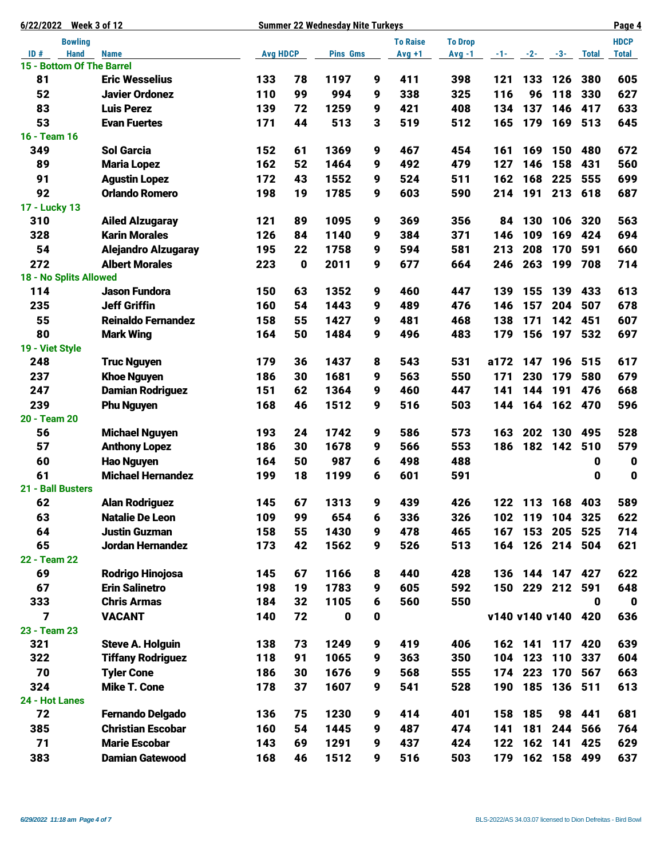| 6/22/2022 Week 3 of 12          | <b>Summer 22 Wednesday Nite Turkeys</b> |                 |          |                 |                |          |          |                    |                 |             |              |              |
|---------------------------------|-----------------------------------------|-----------------|----------|-----------------|----------------|----------|----------|--------------------|-----------------|-------------|--------------|--------------|
| <b>Bowling</b>                  |                                         |                 |          | <b>To Raise</b> | <b>To Drop</b> |          |          |                    |                 | <b>HDCP</b> |              |              |
| ID#<br><b>Hand</b>              | <b>Name</b>                             | <b>Avg HDCP</b> |          | <b>Pins Gms</b> |                | $Avg +1$ | $Avg -1$ | $-1$               | $-2-$           | $-3-$       | <b>Total</b> | <b>Total</b> |
| 15 - Bottom Of The Barrel<br>81 |                                         |                 |          |                 |                |          |          |                    |                 |             |              |              |
|                                 | <b>Eric Wesselius</b>                   | 133             | 78       | 1197            | 9              | 411      | 398      | 121                | 133             | 126         | 380          | 605          |
| 52                              | <b>Javier Ordonez</b>                   | 110             | 99       | 994             | 9              | 338      | 325      | 116                | 96              | 118         | 330          | 627          |
| 83                              | <b>Luis Perez</b>                       | 139             | 72<br>44 | 1259            | 9              | 421      | 408      | 134                | 137<br>179      | 146         | 417          | 633          |
| 53<br>16 - Team 16              | <b>Evan Fuertes</b>                     | 171             |          | 513             | 3              | 519      | 512      | 165                |                 | 169         | 513          | 645          |
| 349                             | <b>Sol Garcia</b>                       | 152             | 61       | 1369            | 9              | 467      | 454      | 161                | 169             | 150         | 480          | 672          |
| 89                              | <b>Maria Lopez</b>                      | 162             | 52       | 1464            | 9              | 492      | 479      | 127                | 146             | 158         | 431          | 560          |
| 91                              | <b>Agustin Lopez</b>                    | 172             | 43       | 1552            | 9              | 524      | 511      | 162                | 168             | 225         | 555          | 699          |
| 92                              | <b>Orlando Romero</b>                   | 198             | 19       | 1785            | 9              | 603      | 590      | 214                | 191             | 213         | 618          | 687          |
| 17 - Lucky 13                   |                                         |                 |          |                 |                |          |          |                    |                 |             |              |              |
| 310                             | <b>Ailed Alzugaray</b>                  | 121             | 89       | 1095            | 9              | 369      | 356      | 84                 | 130             | 106         | 320          | 563          |
| 328                             | <b>Karin Morales</b>                    | 126             | 84       | 1140            | 9              | 384      | 371      | 146                | 109             | 169         | 424          | 694          |
| 54                              | <b>Alejandro Alzugaray</b>              | 195             | 22       | 1758            | 9              | 594      | 581      | 213                | 208             | 170         | 591          | 660          |
| 272                             | <b>Albert Morales</b>                   | 223             | 0        | 2011            | 9              | 677      | 664      | 246                | 263             | 199         | 708          | 714          |
| 18 - No Splits Allowed          |                                         |                 |          |                 |                |          |          |                    |                 |             |              |              |
| 114                             | <b>Jason Fundora</b>                    | 150             | 63       | 1352            | 9              | 460      | 447      | 139                | 155             | 139         | 433          | 613          |
| 235                             | <b>Jeff Griffin</b>                     | 160             | 54       | 1443            | 9              | 489      | 476      | 146                | 157             | 204         | 507          | 678          |
| 55                              | <b>Reinaldo Fernandez</b>               | 158             | 55       | 1427            | 9              | 481      | 468      | 138                | 171             | 142         | 451          | 607          |
| 80                              | <b>Mark Wing</b>                        | 164             | 50       | 1484            | 9              | 496      | 483      | 179                | 156             | 197         | 532          | 697          |
| 19 - Viet Style                 |                                         |                 |          |                 |                |          |          |                    |                 |             |              |              |
| 248                             | <b>Truc Nguyen</b>                      | 179             | 36       | 1437            | 8              | 543      | 531      | a172               | 147             | 196         | 515          | 617          |
| 237                             | <b>Khoe Nguyen</b>                      | 186             | 30       | 1681            | 9              | 563      | 550      | 171                | 230             | 179         | 580          | 679          |
| 247                             | <b>Damian Rodriguez</b>                 | 151             | 62       | 1364            | 9              | 460      | 447      | 141                | 144             | 191         | 476          | 668          |
| 239                             | <b>Phu Nguyen</b>                       | 168             | 46       | 1512            | 9              | 516      | 503      | 144                | 164             |             | 162 470      | 596          |
| 20 - Team 20                    |                                         |                 |          |                 |                |          |          |                    |                 |             |              |              |
| 56                              | <b>Michael Nguyen</b>                   | 193             | 24       | 1742            | 9              | 586      | 573      | 163                | 202             | 130         | 495          | 528          |
| 57                              | <b>Anthony Lopez</b>                    | 186             | 30       | 1678            | 9              | 566      | 553      | 186                | 182             | 142         | 510          | 579          |
| 60                              | <b>Hao Nguyen</b>                       | 164             | 50       | 987             | 6              | 498      | 488      |                    |                 |             | 0            | $\mathbf 0$  |
| 61                              | <b>Michael Hernandez</b>                | 199             | 18       | 1199            | 6              | 601      | 591      |                    |                 |             | 0            | $\mathbf 0$  |
| 21 - Ball Busters               |                                         |                 |          |                 |                |          |          |                    |                 |             |              |              |
| 62                              | <b>Alan Rodriguez</b>                   | 145             | 67       | 1313            | 9              | 439      | 426      | 122                | 113             | 168         | 403          | 589          |
| 63                              | <b>Natalie De Leon</b>                  | 109             | 99       | 654             | 6              | 336      | 326      | 102                | 119             |             | 104 325      | 622          |
| 64                              | <b>Justin Guzman</b>                    | 158             | 55       | 1430            | 9              | 478      | 465      | 167                |                 | 153 205     | 525          | 714          |
| 65                              | Jordan Hernandez                        | 173             | 42       | 1562            | 9              | 526      | 513      | 164                |                 | 126 214 504 |              | 621          |
| 22 - Team 22                    |                                         |                 |          |                 |                |          |          |                    |                 |             |              |              |
| 69                              | Rodrigo Hinojosa                        | 145             | 67       | 1166            | 8              | 440      | 428      | 136                |                 | 144 147 427 |              | 622          |
| 67                              | <b>Erin Salinetro</b>                   | 198             | 19       | 1783            | 9              | 605      | 592      |                    | 150 229 212 591 |             |              | 648          |
| 333                             | <b>Chris Armas</b>                      | 184             | 32       | 1105            | 6              | 560      | 550      |                    |                 |             | 0            | $\mathbf 0$  |
| 7                               | <b>VACANT</b>                           | 140             | 72       | $\mathbf 0$     | 0              |          |          | v140 v140 v140 420 |                 |             |              | 636          |
| 23 - Team 23                    |                                         |                 |          |                 |                |          |          |                    |                 |             |              |              |
| 321                             | <b>Steve A. Holguin</b>                 | 138             | 73       | 1249            | 9              | 419      | 406      |                    | 162 141         | 117         | 420          | 639          |
| 322                             | <b>Tiffany Rodriguez</b>                | 118             | 91       | 1065            | 9              | 363      | 350      | 104                | 123             | 110         | 337          | 604          |
| 70                              | <b>Tyler Cone</b>                       | 186             | 30       | 1676            | 9              | 568      | 555      | 174                | 223             | 170         | 567          | 663          |
| 324                             | <b>Mike T. Cone</b>                     | 178             | 37       | 1607            | 9              | 541      | 528      | 190                | 185             |             | 136 511      | 613          |
| 24 - Hot Lanes                  |                                         |                 |          |                 |                |          |          |                    |                 |             |              |              |
| 72                              | <b>Fernando Delgado</b>                 | 136             | 75       | 1230            | 9              | 414      | 401      | 158                | 185             |             | 98 441       | 681          |
| 385                             | <b>Christian Escobar</b>                | 160             | 54       | 1445            | 9              | 487      | 474      | 141                | 181             | 244         | 566          | 764          |
| 71                              | <b>Marie Escobar</b>                    | 143             | 69       | 1291            | 9              | 437      | 424      | 122                | 162             | 141         | 425          | 629          |
| 383                             | <b>Damian Gatewood</b>                  | 168             | 46       | 1512            | 9              | 516      | 503      | 179                |                 | 162 158     | 499          | 637          |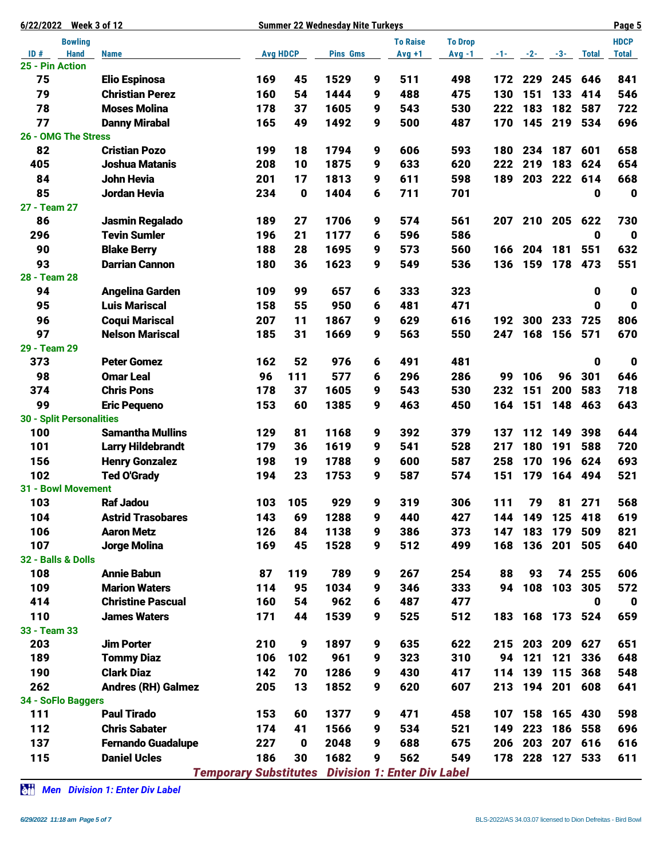| <b>Week 3 of 12</b><br>6/22/2022 | <b>Summer 22 Wednesday Nite Turkeys</b> |                              |                  |                 |   |                                    |                |     |                     |             |              |              |
|----------------------------------|-----------------------------------------|------------------------------|------------------|-----------------|---|------------------------------------|----------------|-----|---------------------|-------------|--------------|--------------|
| <b>Bowling</b>                   |                                         |                              |                  |                 |   | <b>To Raise</b>                    | <b>To Drop</b> |     |                     |             |              | <b>HDCP</b>  |
| ID#<br><b>Hand</b>               | <b>Name</b>                             | <b>Avg HDCP</b>              |                  | <b>Pins Gms</b> |   | $Avg +1$                           | $Avg -1$       |     | $-1$ $-2$ $-3$ $-3$ |             | <b>Total</b> | <b>Total</b> |
| 25 - Pin Action                  |                                         |                              |                  |                 |   |                                    |                |     |                     |             |              |              |
| 75                               | <b>Elio Espinosa</b>                    | 169                          | 45               | 1529            | 9 | 511                                | 498            | 172 | 229                 | 245         | 646          | 841          |
| 79                               | <b>Christian Perez</b>                  | 160                          | 54               | 1444            | 9 | 488                                | 475            | 130 | 151                 | 133         | 414          | 546          |
| 78                               | <b>Moses Molina</b>                     | 178                          | 37               | 1605            | 9 | 543                                | 530            | 222 | 183                 | 182         | 587          | 722          |
| 77                               | <b>Danny Mirabal</b>                    | 165                          | 49               | 1492            | 9 | 500                                | 487            | 170 | 145                 | 219         | 534          | 696          |
| 26 - OMG The Stress              |                                         |                              |                  |                 |   |                                    |                |     |                     |             |              |              |
| 82                               | <b>Cristian Pozo</b>                    | 199                          | 18               | 1794            | 9 | 606                                | 593            | 180 | 234                 | 187         | 601          | 658          |
| 405                              | <b>Joshua Matanis</b>                   | 208                          | 10               | 1875            | 9 | 633                                | 620            | 222 | 219                 | 183         | 624          | 654          |
| 84                               | <b>John Hevia</b>                       | 201                          | 17               | 1813            | 9 | 611                                | 598            | 189 | 203                 | 222         | 614          | 668          |
| 85                               | Jordan Hevia                            | 234                          | 0                | 1404            | 6 | 711                                | 701            |     |                     |             | 0            | $\mathbf 0$  |
| 27 - Team 27                     |                                         |                              |                  |                 |   |                                    |                |     |                     |             |              |              |
| 86                               | <b>Jasmin Regalado</b>                  | 189                          | 27               | 1706            | 9 | 574                                | 561            | 207 | 210                 | 205         | 622          | 730          |
| 296                              | <b>Tevin Sumler</b>                     | 196                          | 21               | 1177            | 6 | 596                                | 586            |     |                     |             | $\mathbf 0$  | $\mathbf 0$  |
| 90                               | <b>Blake Berry</b>                      | 188                          | 28               | 1695            | 9 | 573                                | 560            | 166 | 204                 | 181         | 551          | 632          |
| 93                               | <b>Darrian Cannon</b>                   | 180                          | 36               | 1623            | 9 | 549                                | 536            | 136 | 159                 | 178         | 473          | 551          |
| 28 - Team 28                     |                                         |                              |                  |                 |   |                                    |                |     |                     |             |              |              |
| 94                               | <b>Angelina Garden</b>                  | 109                          | 99               | 657             | 6 | 333                                | 323            |     |                     |             | $\mathbf 0$  | $\mathbf 0$  |
| 95                               | <b>Luis Mariscal</b>                    | 158                          | 55               | 950             | 6 | 481                                | 471            |     |                     |             | $\mathbf 0$  | $\mathbf 0$  |
| 96                               | <b>Coqui Mariscal</b>                   | 207                          | 11               | 1867            | 9 | 629                                | 616            | 192 | 300                 | 233         | 725          | 806          |
| 97                               | <b>Nelson Mariscal</b>                  | 185                          | 31               | 1669            | 9 | 563                                | 550            | 247 | 168                 | 156         | 571          | 670          |
| 29 - Team 29                     |                                         |                              |                  |                 |   |                                    |                |     |                     |             |              |              |
| 373                              | <b>Peter Gomez</b>                      | 162                          | 52               | 976             | 6 | 491                                | 481            |     |                     |             | $\mathbf 0$  | $\mathbf 0$  |
| 98                               | <b>Omar Leal</b>                        | 96                           | 111              | 577             | 6 | 296                                | 286            | 99  | 106                 | 96          | 301          | 646          |
| 374                              | <b>Chris Pons</b>                       | 178                          | 37               | 1605            | 9 | 543                                | 530            | 232 | 151                 | 200         | 583          | 718          |
| 99                               | <b>Eric Pequeno</b>                     | 153                          | 60               | 1385            | 9 | 463                                | 450            | 164 | 151                 | 148         | 463          | 643          |
| <b>30 - Split Personalities</b>  |                                         |                              |                  |                 |   |                                    |                |     |                     |             |              |              |
| 100                              | <b>Samantha Mullins</b>                 | 129                          | 81               | 1168            | 9 | 392                                | 379            | 137 | 112                 | 149         | 398          | 644          |
| 101                              | <b>Larry Hildebrandt</b>                | 179                          | 36               | 1619            | 9 | 541                                | 528            | 217 | 180                 | 191         | 588          | 720          |
| 156                              | <b>Henry Gonzalez</b>                   | 198                          | 19               | 1788            | 9 | 600                                | 587            | 258 | 170                 | 196         | 624          | 693          |
| 102                              | <b>Ted O'Grady</b>                      | 194                          | 23               | 1753            | 9 | 587                                | 574            | 151 | 179                 | 164         | 494          | 521          |
| <b>31 - Bowl Movement</b>        |                                         |                              |                  |                 |   |                                    |                |     |                     |             |              |              |
| 103                              | <b>Raf Jadou</b>                        | 103                          | 105              | 929             | 9 | 319                                | 306            | 111 | 79                  | 81          | 271          | 568          |
| 104                              | <b>Astrid Trasobares</b>                | 143                          | 69               | 1288            | 9 | 440                                | 427            | 144 | 149                 | 125         | 418          | 619          |
| 106                              | <b>Aaron Metz</b>                       | 126                          | 84               | 1138            | 9 | 386                                | 373            | 147 | 183                 | 179         | 509          | 821          |
| 107                              | Jorge Molina                            | 169                          | 45               | 1528            | 9 | 512                                | 499            | 168 |                     | 136 201     | 505          | 640          |
| 32 - Balls & Dolls               |                                         |                              |                  |                 |   |                                    |                |     |                     |             |              |              |
| 108                              | <b>Annie Babun</b>                      | 87                           | 119              | 789             | 9 | 267                                | 254            | 88  | 93                  |             | 74 255       | 606          |
| 109                              | <b>Marion Waters</b>                    | 114                          | 95               | 1034            | 9 | 346                                | 333            | 94  |                     | 108 103     | 305          | 572          |
| 414                              | <b>Christine Pascual</b>                | 160                          | 54               | 962             | 6 | 487                                | 477            |     |                     |             | 0            | $\mathbf 0$  |
| 110                              | <b>James Waters</b>                     | 171                          | 44               | 1539            | 9 | 525                                | 512            | 183 | 168                 |             | 173 524      | 659          |
| 33 - Team 33                     |                                         |                              |                  |                 |   |                                    |                |     |                     |             |              |              |
| 203                              | <b>Jim Porter</b>                       | 210                          | $\boldsymbol{9}$ | 1897            | 9 | 635                                | 622            | 215 | 203                 | 209         | 627          | 651          |
| 189                              | <b>Tommy Diaz</b>                       | 106                          | 102              | 961             | 9 | 323                                | 310            | 94  | 121                 | 121         | 336          | 648          |
| 190                              | <b>Clark Diaz</b>                       | 142                          | 70               | 1286            | 9 | 430                                | 417            | 114 | 139                 | 115         | 368          | 548          |
| 262                              | <b>Andres (RH) Galmez</b>               | 205                          | 13               | 1852            | 9 | 620                                | 607            | 213 |                     | 194 201     | 608          | 641          |
| 34 - SoFlo Baggers               |                                         |                              |                  |                 |   |                                    |                |     |                     |             |              |              |
| 111                              | <b>Paul Tirado</b>                      | 153                          | 60               | 1377            | 9 | 471                                | 458            | 107 | 158                 | 165         | 430          | 598          |
| 112                              | <b>Chris Sabater</b>                    | 174                          | 41               | 1566            | 9 | 534                                | 521            | 149 | 223                 | 186         | 558          | 696          |
| 137                              | <b>Fernando Guadalupe</b>               | 227                          | $\bf{0}$         | 2048            | 9 | 688                                | 675            | 206 | 203                 | 207         | 616          | 616          |
| 115                              | <b>Daniel Ucles</b>                     | 186                          | 30               | 1682            | 9 | 562                                | 549            | 178 |                     | 228 127 533 |              | 611          |
|                                  |                                         | <b>Temporary Substitutes</b> |                  |                 |   | <b>Division 1: Enter Div Label</b> |                |     |                     |             |              |              |

*Men Division 1: Enter Div Label*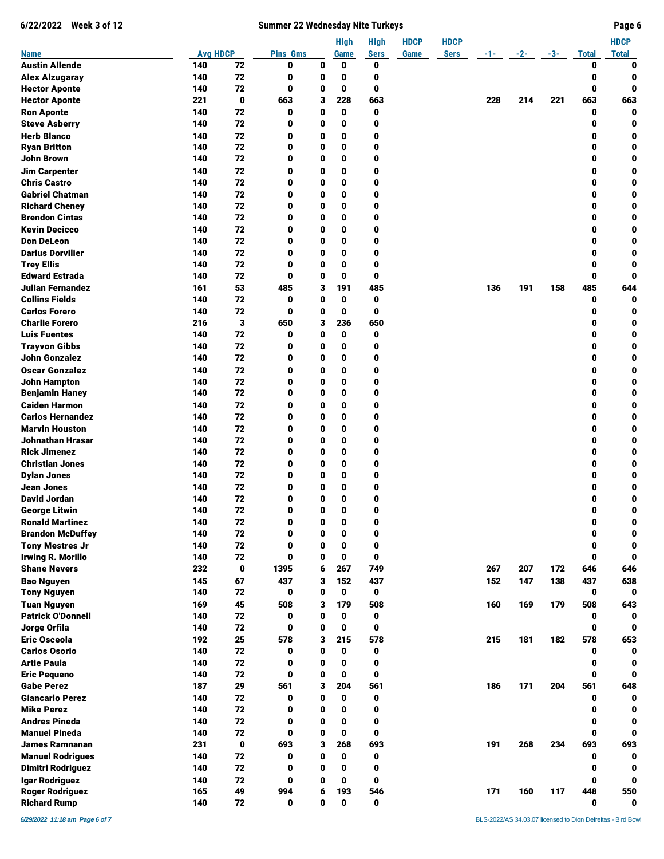| 6/22/2022 Week 3 of 12                         |                 |          | <b>Summer 22 Wednesday Nite Turkeys</b> |             |               |             |             |             |       |       |       |              | Page 6       |
|------------------------------------------------|-----------------|----------|-----------------------------------------|-------------|---------------|-------------|-------------|-------------|-------|-------|-------|--------------|--------------|
|                                                |                 |          |                                         |             | <b>High</b>   | <b>High</b> | <b>HDCP</b> | <b>HDCP</b> |       |       |       |              | <b>HDCP</b>  |
| <b>Name</b>                                    | <b>Avg HDCP</b> |          | <b>Pins Gms</b>                         |             | Game          | <b>Sers</b> | Game        | <b>Sers</b> | -1- - | $-2-$ | $-3-$ | <b>Total</b> | <b>Total</b> |
| <b>Austin Allende</b>                          | 140             | 72       | 0                                       | 0           | 0             | 0           |             |             |       |       |       | 0            | 0            |
| <b>Alex Alzugaray</b>                          | 140             | 72       | 0                                       | 0           | 0             | 0           |             |             |       |       |       | 0            | 0            |
| <b>Hector Aponte</b>                           | 140             | 72       | 0                                       | 0           | 0             | 0           |             |             |       |       |       | 0            | 0            |
| <b>Hector Aponte</b>                           | 221             | 0        | 663                                     | 3           | 228           | 663         |             |             | 228   | 214   | 221   | 663          | 663          |
| <b>Ron Aponte</b><br><b>Steve Asberry</b>      | 140<br>140      | 72<br>72 | 0<br>0                                  | 0<br>0      | 0<br>0        | 0<br>0      |             |             |       |       |       | 0<br>0       | 0<br>0       |
| <b>Herb Blanco</b>                             | 140             | 72       | 0                                       | 0           | 0             | 0           |             |             |       |       |       | 0            | 0            |
| <b>Ryan Britton</b>                            | 140             | 72       | 0                                       | 0           | 0             | 0           |             |             |       |       |       | 0            | 0            |
| John Brown                                     | 140             | 72       | 0                                       | 0           | 0             | 0           |             |             |       |       |       | 0            | 0            |
| <b>Jim Carpenter</b>                           | 140             | 72       | 0                                       | 0           | 0             | 0           |             |             |       |       |       | 0            | 0            |
| <b>Chris Castro</b>                            | 140             | 72       | 0                                       | 0           | 0             | 0           |             |             |       |       |       | 0            | 0            |
| <b>Gabriel Chatman</b>                         | 140             | 72       | 0                                       | 0           | 0             | 0           |             |             |       |       |       | 0            | 0            |
| <b>Richard Cheney</b>                          | 140             | 72       | 0                                       | 0           | 0             | 0           |             |             |       |       |       | 0            | 0            |
| <b>Brendon Cintas</b>                          | 140             | 72       | 0                                       | 0           | 0             | 0           |             |             |       |       |       | 0            | 0            |
| <b>Kevin Decicco</b>                           | 140             | 72       | 0                                       | 0           | 0             | 0           |             |             |       |       |       | 0            | 0            |
| <b>Don DeLeon</b>                              | 140             | 72       | 0                                       | 0           | 0             | 0           |             |             |       |       |       | 0            | 0            |
| <b>Darius Dorvilier</b>                        | 140             | 72       | 0                                       | 0           | 0             | 0           |             |             |       |       |       | 0            | 0            |
| <b>Trey Ellis</b>                              | 140             | 72       | 0                                       | 0           | 0             | 0           |             |             |       |       |       | 0            | 0            |
| <b>Edward Estrada</b>                          | 140             | 72       | 0                                       | 0           | 0             | 0           |             |             |       |       |       | 0            | 0            |
| Julian Fernandez                               | 161             | 53       | 485                                     | З           | 191           | 485         |             |             | 136   | 191   | 158   | 485          | 644          |
| <b>Collins Fields</b>                          | 140             | 72       | 0                                       | 0           | $\bf{0}$      | 0           |             |             |       |       |       | 0            | 0            |
| <b>Carlos Forero</b><br><b>Charlie Forero</b>  | 140<br>216      | 72<br>3  | 0<br>650                                | 0<br>3      | 0<br>236      | 0<br>650    |             |             |       |       |       | 0<br>0       | 0<br>0       |
| <b>Luis Fuentes</b>                            | 140             | 72       | 0                                       | 0           | 0             | 0           |             |             |       |       |       | 0            | 0            |
| <b>Trayvon Gibbs</b>                           | 140             | 72       | 0                                       | 0           | 0             | 0           |             |             |       |       |       | 0            | 0            |
| John Gonzalez                                  | 140             | 72       | 0                                       | 0           | 0             | 0           |             |             |       |       |       | 0            | 0            |
| <b>Oscar Gonzalez</b>                          | 140             | 72       | 0                                       | 0           | 0             | 0           |             |             |       |       |       | 0            | 0            |
| <b>John Hampton</b>                            | 140             | 72       | 0                                       | 0           | 0             | 0           |             |             |       |       |       | 0            | 0            |
| <b>Benjamin Haney</b>                          | 140             | 72       | 0                                       | 0           | 0             | 0           |             |             |       |       |       | 0            | 0            |
| <b>Caiden Harmon</b>                           | 140             | 72       | 0                                       | 0           | 0             | 0           |             |             |       |       |       | 0            | 0            |
| <b>Carlos Hernandez</b>                        | 140             | 72       | 0                                       | 0           | 0             | 0           |             |             |       |       |       | 0            | 0            |
| <b>Marvin Houston</b>                          | 140             | 72       | 0                                       | 0           | 0             | 0           |             |             |       |       |       | 0            | 0            |
| Johnathan Hrasar                               | 140             | 72       | 0                                       | 0           | 0             | 0           |             |             |       |       |       | 0            | 0            |
| <b>Rick Jimenez</b>                            | 140             | 72       | 0                                       | 0           | 0             | 0           |             |             |       |       |       | 0            | 0            |
| <b>Christian Jones</b>                         | 140             | 72       | 0                                       | 0           | 0             | 0           |             |             |       |       |       | 0            | 0            |
| <b>Dylan Jones</b>                             | 140             | 72       | 0                                       | 0           | 0             | 0           |             |             |       |       |       | 0            | 0            |
| Jean Jones                                     | 140             | 72       | 0                                       | 0           | 0             | 0           |             |             |       |       |       | 0            | 0            |
| <b>David Jordan</b>                            | 140             | 72<br>72 | U                                       | n           | 0             | 0           |             |             |       |       |       | U            | U            |
| <b>George Litwin</b><br><b>Ronald Martinez</b> | 140<br>140      | 72       | 0<br>0                                  | 0<br>0      | 0<br>$\bf{0}$ | 0<br>0      |             |             |       |       |       | 0<br>0       | 0<br>0       |
| <b>Brandon McDuffey</b>                        | 140             | 72       | 0                                       | $\mathbf 0$ | $\bf{0}$      | 0           |             |             |       |       |       | 0            | 0            |
| <b>Tony Mestres Jr</b>                         | 140             | 72       | 0                                       | 0           | 0             | 0           |             |             |       |       |       | 0            | 0            |
| <b>Irwing R. Morillo</b>                       | 140             | 72       | 0                                       | 0           | $\bf{0}$      | 0           |             |             |       |       |       | $\mathbf{0}$ | 0            |
| <b>Shane Nevers</b>                            | 232             | 0        | 1395                                    | 6           | 267           | 749         |             |             | 267   | 207   | 172   | 646          | 646          |
| <b>Bao Nguyen</b>                              | 145             | 67       | 437                                     | 3           | 152           | 437         |             |             | 152   | 147   | 138   | 437          | 638          |
| <b>Tony Nguyen</b>                             | 140             | 72       | 0                                       | 0           | 0             | 0           |             |             |       |       |       | 0            | 0            |
| <b>Tuan Nguyen</b>                             | 169             | 45       | 508                                     | З           | 179           | 508         |             |             | 160   | 169   | 179   | 508          | 643          |
| <b>Patrick O'Donnell</b>                       | 140             | 72       | 0                                       | 0           | 0             | 0           |             |             |       |       |       | 0            | 0            |
| Jorge Orfila                                   | 140             | 72       | 0                                       | 0           | 0             | 0           |             |             |       |       |       | 0            | 0            |
| <b>Eric Osceola</b>                            | 192             | 25       | 578                                     | 3           | 215           | 578         |             |             | 215   | 181   | 182   | 578          | 653          |
| <b>Carlos Osorio</b>                           | 140             | 72       | 0                                       | 0           | $\bf{0}$      | 0           |             |             |       |       |       | 0            | 0            |
| <b>Artie Paula</b>                             | 140             | 72       | 0                                       | 0           | $\bf{0}$      | 0           |             |             |       |       |       | 0            | 0            |
| <b>Eric Pequeno</b>                            | 140             | 72       | 0                                       | 0           | $\mathbf 0$   | 0           |             |             |       |       |       | 0            | 0            |
| <b>Gabe Perez</b>                              | 187             | 29       | 561                                     | 3           | 204           | 561         |             |             | 186   | 171   | 204   | 561          | 648          |
| <b>Giancarlo Perez</b><br><b>Mike Perez</b>    | 140<br>140      | 72<br>72 | 0<br>0                                  | 0<br>0      | $\bf{0}$<br>0 | 0<br>0      |             |             |       |       |       | 0<br>0       | 0<br>0       |
| <b>Andres Pineda</b>                           | 140             | 72       | 0                                       | 0           | 0             | 0           |             |             |       |       |       | 0            | 0            |
| <b>Manuel Pineda</b>                           | 140             | 72       | 0                                       | $\mathbf 0$ | $\bf{0}$      | 0           |             |             |       |       |       | $\mathbf{0}$ | 0            |
| <b>James Ramnanan</b>                          | 231             | 0        | 693                                     | 3           | 268           | 693         |             |             | 191   | 268   | 234   | 693          | 693          |
| <b>Manuel Rodrigues</b>                        | 140             | 72       | 0                                       | 0           | 0             | 0           |             |             |       |       |       | 0            | 0            |
| Dimitri Rodriguez                              | 140             | 72       | 0                                       | 0           | 0             | 0           |             |             |       |       |       | 0            | 0            |
| Igar Rodriguez                                 | 140             | 72       | 0                                       | 0           | 0             | 0           |             |             |       |       |       | 0            | 0            |
| <b>Roger Rodriguez</b>                         | 165             | 49       | 994                                     | 6           | 193           | 546         |             |             | 171   | 160   | 117   | 448          | 550          |
| <b>Richard Rump</b>                            | 140             | 72       | 0                                       | $\mathbf 0$ | 0             | 0           |             |             |       |       |       | 0            | 0            |